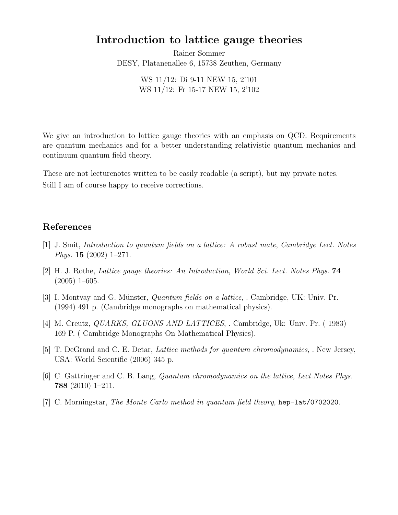## Introduction to lattice gauge theories

Rainer Sommer DESY, Platanenallee 6, 15738 Zeuthen, Germany

> WS 11/12: Di 9-11 NEW 15, 2'101 WS 11/12: Fr 15-17 NEW 15, 2'102

We give an introduction to lattice gauge theories with an emphasis on QCD. Requirements are quantum mechanics and for a better understanding relativistic quantum mechanics and continuum quantum field theory.

These are not lecturenotes written to be easily readable (a script), but my private notes. Still I am of course happy to receive corrections.

## References

- [1] J. Smit, Introduction to quantum fields on a lattice: A robust mate, Cambridge Lect. Notes Phys. 15 (2002) 1–271.
- [2] H. J. Rothe, Lattice gauge theories: An Introduction, World Sci. Lect. Notes Phys. 74 (2005) 1–605.
- [3] I. Montvay and G. Münster, *Quantum fields on a lattice*, . Cambridge, UK: Univ. Pr. (1994) 491 p. (Cambridge monographs on mathematical physics).
- [4] M. Creutz, QUARKS, GLUONS AND LATTICES, . Cambridge, Uk: Univ. Pr. ( 1983) 169 P. ( Cambridge Monographs On Mathematical Physics).
- [5] T. DeGrand and C. E. Detar, Lattice methods for quantum chromodynamics, . New Jersey, USA: World Scientific (2006) 345 p.
- [6] C. Gattringer and C. B. Lang, Quantum chromodynamics on the lattice, Lect.Notes Phys. 788 (2010) 1–211.
- [7] C. Morningstar, The Monte Carlo method in quantum field theory, hep-lat/0702020.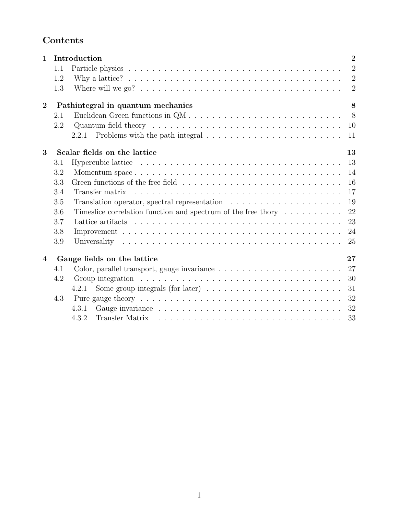# Contents

| $\mathbf{1}$   |                                        | $\overline{2}$<br>Introduction                                                                                                                                                                                                       |  |
|----------------|----------------------------------------|--------------------------------------------------------------------------------------------------------------------------------------------------------------------------------------------------------------------------------------|--|
|                | 1.1                                    | $\overline{2}$                                                                                                                                                                                                                       |  |
|                | 1.2                                    | $\overline{2}$<br>Why a lattice? $\ldots \ldots \ldots \ldots \ldots \ldots \ldots \ldots \ldots \ldots \ldots \ldots$                                                                                                               |  |
|                | 1.3                                    | $\overline{2}$                                                                                                                                                                                                                       |  |
| $\overline{2}$ | 8<br>Pathintegral in quantum mechanics |                                                                                                                                                                                                                                      |  |
|                | 2.1                                    | 8 <sup>8</sup>                                                                                                                                                                                                                       |  |
|                | 2.2                                    | 10                                                                                                                                                                                                                                   |  |
|                |                                        | 2.2.1<br>11                                                                                                                                                                                                                          |  |
| 3              | Scalar fields on the lattice<br>13     |                                                                                                                                                                                                                                      |  |
|                | 3.1                                    | Hypercubic lattice $\ldots \ldots \ldots \ldots \ldots \ldots \ldots \ldots \ldots \ldots \ldots \ldots$<br>13                                                                                                                       |  |
|                | 3.2                                    | 14                                                                                                                                                                                                                                   |  |
|                | 3.3                                    | 16                                                                                                                                                                                                                                   |  |
|                | 3.4                                    | 17                                                                                                                                                                                                                                   |  |
|                | 3.5                                    | 19                                                                                                                                                                                                                                   |  |
|                | 3.6                                    | 22<br>Timeslice correlation function and spectrum of the free thory $\dots \dots \dots$                                                                                                                                              |  |
| $\overline{4}$ | 3.7                                    | Lattice artifacts research resources resources resources resources resources resources resources resources resources resources resources resources resources resources resources resources resources resources resources resou<br>23 |  |
|                | 3.8                                    | 24                                                                                                                                                                                                                                   |  |
|                | 3.9                                    | 25                                                                                                                                                                                                                                   |  |
|                | 27<br>Gauge fields on the lattice      |                                                                                                                                                                                                                                      |  |
|                | 4.1                                    | 27                                                                                                                                                                                                                                   |  |
|                | 4.2                                    | Group integration $\ldots \ldots \ldots \ldots \ldots \ldots \ldots \ldots \ldots \ldots \ldots$<br>30                                                                                                                               |  |
|                |                                        | Some group integrals (for later) $\dots \dots \dots \dots \dots \dots \dots \dots \dots$<br>31<br>4.2.1                                                                                                                              |  |
|                | 4.3                                    | 32                                                                                                                                                                                                                                   |  |
|                |                                        | 32<br>4.3.1                                                                                                                                                                                                                          |  |
|                |                                        | 33<br>4.3.2                                                                                                                                                                                                                          |  |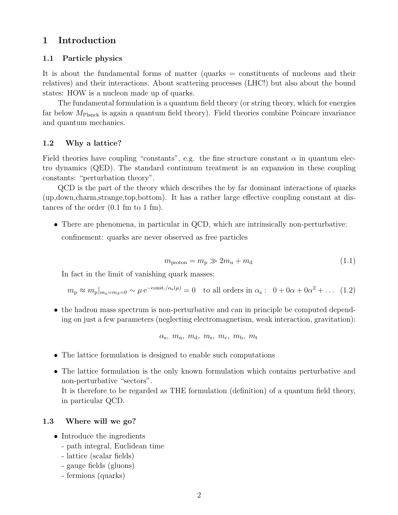### 1 Introduction

#### 1.1 Particle physics

It is about the fundamental forms of matter (quarks = constituents of nucleons and their relatives) and their interactions. About scattering processes (LHC!) but also about the bound states: HOW is a nucleon made up of quarks.

The fundamental formulation is a quantum field theory (or string theory, which for energies far below  $M_{\text{Planck}}$  is again a quantum field theory). Field theories combine Poincare invariance and quantum mechanics.

#### 1.2 Why a lattice?

Field theories have coupling "constants", e.g. the fine structure constant  $\alpha$  in quantum electro dynamics (QED). The standard continuum treatment is an expansion in these coupling constants: "perturbation theory".

QCD is the part of the theory which describes the by far dominant interactions of quarks (up,down,charm,strange,top,bottom). It has a rather large effective coupling constant at distances of the order (0.1 fm to 1 fm).

• There are phenomena, in particular in QCD, which are intrinsically non-perturbative: confinement: quarks are never observed as free particles

$$
m_{\text{proton}} = m_{\text{p}} \gg 2m_{\text{u}} + m_{\text{d}} \tag{1.1}
$$

In fact in the limit of vanishing quark masses:

$$
m_{\rm p} \approx m_{\rm p}|_{m_{\rm u}=m_{\rm d}=0} \sim \mu e^{-\text{const.}/\alpha_{\rm s}(\mu)} = 0
$$
 to all orders in  $\alpha_{\rm s}$ :  $0 + 0\alpha + 0\alpha^2 + ...$  (1.2)

• the hadron mass spectrum is non-perturbative and can in principle be computed depending on just a few parameters (neglecting electromagnetism, weak interaction, gravitation):

$$
\alpha_{\rm s},~m_{\rm u},~m_{\rm d},~m_{\rm s},~m_{\rm c},~m_{\rm b},~m_{\rm t}
$$

- The lattice formulation is designed to enable such computations
- The lattice formulation is the only known formulation which contains perturbative and non-perturbative "sectors".

It is therefore to be regarded as THE formulation (definition) of a quantum field theory, in particular QCD.

#### 1.3 Where will we go?

- Introduce the ingredients
	- path integral, Euclidean time
	- lattice (scalar fields)
	- gauge fields (gluons)
	- fermions (quarks)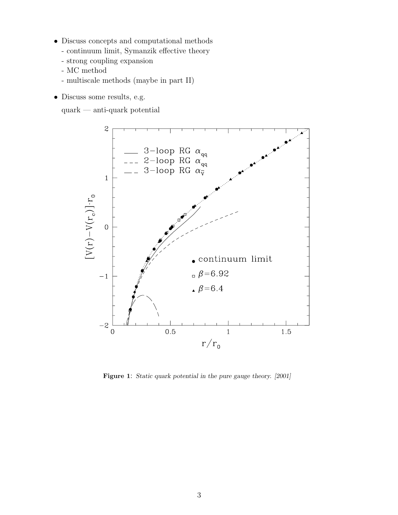- Discuss concepts and computational methods
	- continuum limit, Symanzik effective theory
	- strong coupling expansion
	- MC method
	- multiscale methods (maybe in part II)
- Discuss some results, e.g.

quark — anti-quark potential



Figure 1: Static quark potential in the pure gauge theory. [2001]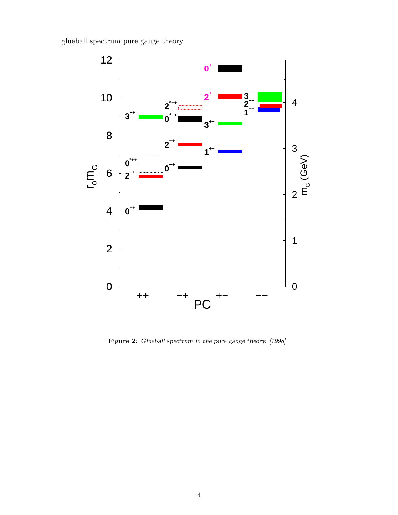glueball spectrum pure gauge theory



Figure 2: Glueball spectrum in the pure gauge theory. [1998]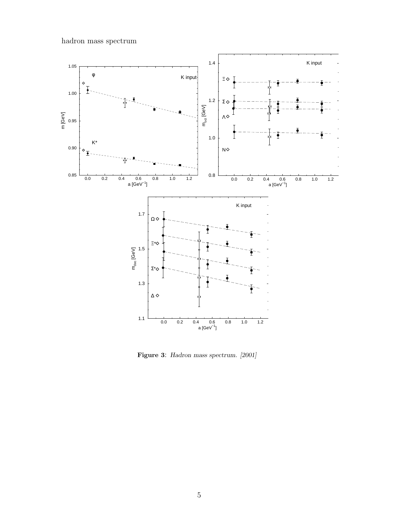hadron mass spectrum



Figure 3: Hadron mass spectrum. [2001]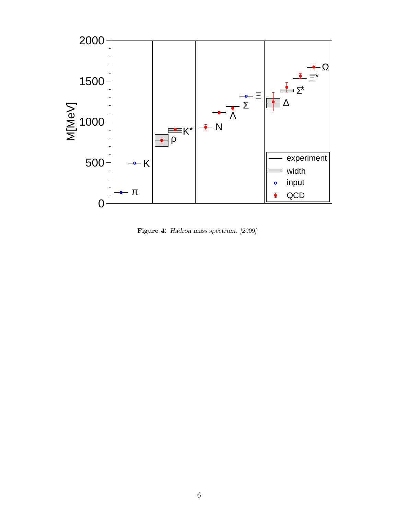

Figure 4: Hadron mass spectrum. [2009]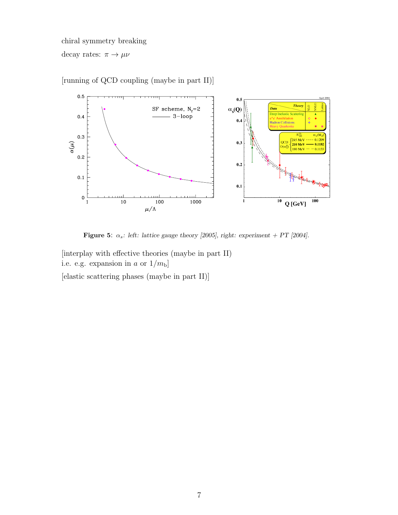chiral symmetry breaking decay rates:  $\pi \to \mu \nu$ 



[running of QCD coupling (maybe in part II)]

Figure 5:  $\alpha_s$ : left: lattice gauge theory [2005], right: experiment + PT [2004].

[interplay with effective theories (maybe in part II) i.e. e.g. expansion in a or  $1/m<sub>b</sub>$ ] [elastic scattering phases (maybe in part II)]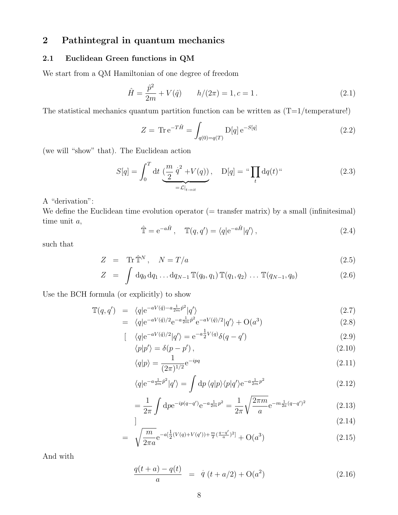## 2 Pathintegral in quantum mechanics

### 2.1 Euclidean Green functions in QM

We start from a QM Hamiltonian of one degree of freedom

$$
\hat{H} = \frac{\hat{p}^2}{2m} + V(\hat{q}) \qquad h/(2\pi) = 1, c = 1.
$$
\n(2.1)

The statistical mechanics quantum partition function can be written as  $(T=1/\text{temperature}!)$ 

$$
Z = \text{Tr} \, \mathbf{e}^{-T\hat{H}} = \int_{q(0) = q(T)} \mathcal{D}[q] \, \mathbf{e}^{-S[q]} \tag{2.2}
$$

(we will "show" that). The Euclidean action

$$
S[q] = \int_0^T dt \underbrace{\left(\frac{m}{2} \dot{q}^2 + V(q)\right)}_{= \mathcal{L}|_{t \to it}}, \quad D[q] = \text{``}\prod_t dq(t) \text{``}
$$
\n(2.3)

A "derivation":

We define the Euclidean time evolution operator  $($  = transfer matrix) by a small (infinitesimal) time unit a,

$$
\hat{\mathbb{T}} = e^{-a\hat{H}}, \quad \mathbb{T}(q, q') = \langle q|e^{-a\hat{H}}|q'\rangle, \qquad (2.4)
$$

such that

$$
Z = \text{Tr}\,\hat{\mathbb{T}}^N, \quad N = T/a \tag{2.5}
$$

$$
Z = \int dq_0 dq_1 \dots dq_{N-1} \mathbb{T}(q_0, q_1) \mathbb{T}(q_1, q_2) \dots \mathbb{T}(q_{N-1}, q_0)
$$
 (2.6)

Use the BCH formula (or explicitly) to show

$$
\mathbb{T}(q,q') = \langle q|e^{-aV(\hat{q}) - a\frac{1}{2m}\hat{p}^2}|q'\rangle
$$
\n
$$
(2.7)
$$
\n
$$
\langle q|e^{-aV(\hat{q})/2} - q\frac{1}{m}\hat{p}^2|q'\rangle
$$
\n
$$
(2.8)
$$

$$
= \langle q|e^{-aV(\hat{q})/2}e^{-a\frac{1}{2m}\hat{p}^2}e^{-aV(\hat{q})/2}|q'\rangle + O(a^3)
$$
\n
$$
[ \langle q|e^{-aV(\hat{q})/2}|q'\rangle = e^{-a\frac{1}{2}V(q)}\delta(q-q')
$$
\n(2.9)

$$
\langle q|e^{-aV(q)/2}|q'\rangle = e^{-a\frac{\tau}{2}V(q)}\delta(q-q')
$$
\n
$$
\langle p|p'\rangle = \delta(p-p')
$$
\n(2.10)

$$
\langle q|p\rangle = \frac{1}{(2\pi)^{1/2}} e^{-ipq} \tag{2.11}
$$

$$
\langle q|e^{-a\frac{1}{2m}\hat{p}^2}|q'\rangle = \int dp \,\langle q|p\rangle\langle p|q'\rangle e^{-a\frac{1}{2m}p^2}
$$
\n(2.12)

$$
= \frac{1}{2\pi} \int \mathrm{d}p e^{-ip(q-q')} e^{-a\frac{1}{2m}p^2} = \frac{1}{2\pi} \sqrt{\frac{2\pi m}{a}} e^{-m\frac{1}{2a}(q-q')^2}
$$
(2.13)

$$
\boxed{\hspace{2cm}} \hspace{2cm} (2.14)
$$

$$
= \sqrt{\frac{m}{2\pi a}} e^{-a\left[\frac{1}{2}(V(q) + V(q')) + \frac{m}{2}\left(\frac{q - q'}{a}\right)^2\right]} + O(a^3)
$$
\n(2.15)

And with

$$
\frac{q(t+a) - q(t)}{a} = \dot{q}(t+a/2) + O(a^2)
$$
\n(2.16)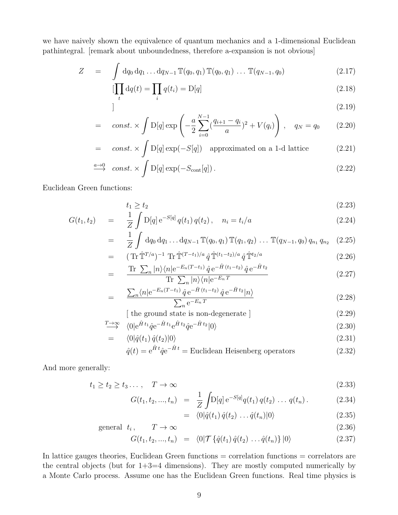we have naively shown the equivalence of quantum mechanics and a 1-dimensional Euclidean pathintegral. [remark about unboundedness, therefore a-expansion is not obvious]

$$
Z = \int dq_0 dq_1 \dots dq_{N-1} \mathbb{T}(q_0, q_1) \mathbb{T}(q_0, q_1) \dots \mathbb{T}(q_{N-1}, q_0)
$$
 (2.17)

$$
\left[\prod_{t} dq(t) = \prod_{i} q(t_i) = D[q]\right]
$$
\n(2.18)

$$
\begin{array}{c}\n (2.19)\n \end{array}
$$

$$
= \operatorname{const.} \times \int D[q] \exp\left(-\frac{a}{2} \sum_{i=0}^{N-1} \left(\frac{q_{i+1} - q_i}{a}\right)^2 + V(q_i)\right), \quad q_N = q_0 \tag{2.20}
$$

= const. 
$$
\times \int_{c} D[q] \exp(-S[q])
$$
 approximated on a 1-d lattice (2.21)

$$
\xrightarrow{a \to 0} const. \times \int D[q] \exp(-S_{\text{cont}}[q]). \qquad (2.22)
$$

Euclidean Green functions:

$$
t_1 \ge t_2 \tag{2.23}
$$

$$
G(t_1, t_2) = \frac{1}{Z} \int D[q] e^{-S[q]} q(t_1) q(t_2), \quad n_i = t_i/a \tag{2.24}
$$

$$
= \frac{1}{Z} \int dq_0 dq_1 \dots dq_{N-1} \mathbb{T}(q_0, q_1) \mathbb{T}(q_1, q_2) \dots \mathbb{T}(q_{N-1}, q_0) q_{n_1} q_{n_2} \quad (2.25)
$$

$$
= \left( \text{Tr} \,\hat{\mathbb{T}}^{T/a} \right)^{-1} \text{Tr} \,\hat{\mathbb{T}}^{(T-t_1)/a} \,\hat{q} \,\hat{\mathbb{T}}^{(t_1-t_2)/a} \,\hat{q} \,\hat{\mathbb{T}}^{t_2/a} \tag{2.26}
$$

$$
= \frac{\text{Tr} \sum_{n} |n\rangle\langle n| e^{-E_n(T-t_1)} \hat{q} e^{-\hat{H}(t_1-t_2)} \hat{q} e^{-\hat{H}t_2}}{\text{Tr} \sum_{n} |n\rangle\langle n| e^{-E_n T}}
$$
(2.27)

$$
= \frac{\sum_{n} \langle n | e^{-E_n(T-t_1)} \hat{q} e^{-\hat{H}(t_1-t_2)} \hat{q} e^{-\hat{H}t_2} | n \rangle}{\sum_{n} e^{-E_n T}}
$$
(2.28)

$$
[ the ground state is non-degenerate ] \qquad (2.29)
$$

$$
\stackrel{T \to \infty}{\longrightarrow} \langle 0 | e^{\hat{H}t_1} \hat{q} e^{-\hat{H}t_1} e^{\hat{H}t_2} \hat{q} e^{-\hat{H}t_2} | 0 \rangle \tag{2.30}
$$

$$
= \langle 0|\hat{q}(t_1)\,\hat{q}(t_2)|0\rangle \tag{2.31}
$$

$$
\hat{q}(t) = e^{\hat{H}t}\hat{q}e^{-\hat{H}t} =
$$
Euclidean Heisenberg operators (2.32)

And more generally:

$$
t_1 \ge t_2 \ge t_3 \dots, \quad T \to \infty \tag{2.33}
$$

$$
G(t_1, t_2, ..., t_n) = \frac{1}{Z} \int D[q] e^{-S[q]} q(t_1) q(t_2) ... q(t_n).
$$
 (2.34)

$$
= \langle 0|\hat{q}(t_1)\,\hat{q}(t_2)\,\ldots\hat{q}(t_n)|0\rangle \tag{2.35}
$$

$$
general \t t_i, \t T \to \infty \t (2.36)
$$

$$
G(t_1, t_2, ..., t_n) = \langle 0 | \mathcal{T} \{ \hat{q}(t_1) \, \hat{q}(t_2) \, ... \, \hat{q}(t_n) \} | 0 \rangle \tag{2.37}
$$

In lattice gauges theories, Euclidean Green functions = correlation functions = correlators are the central objects (but for  $1+3=4$  dimensions). They are mostly computed numerically by a Monte Carlo process. Assume one has the Euclidean Green functions. Real time physics is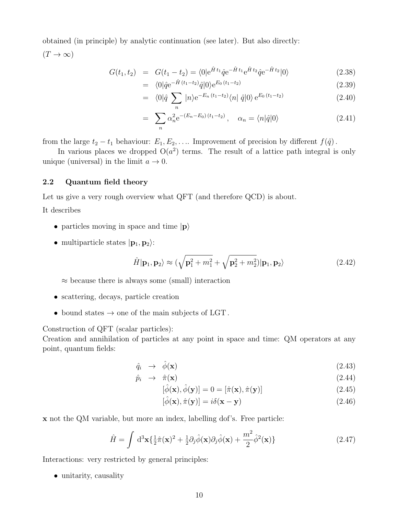obtained (in principle) by analytic continuation (see later). But also directly:  $(T \to \infty)$ 

$$
G(t_1, t_2) = G(t_1 - t_2) = \langle 0 | e^{\hat{H}t_1} \hat{q} e^{-\hat{H}t_1} e^{\hat{H}t_2} \hat{q} e^{-\hat{H}t_2} | 0 \rangle \tag{2.38}
$$

$$
= \langle 0|\hat{q}e^{-\hat{H}\,(t_1-t_2)}\hat{q}|0\rangle e^{E_0\,(t_1-t_2)} \tag{2.39}
$$

$$
= \langle 0|\hat{q} \sum_{n} |n\rangle e^{-E_{n}(t_{1}-t_{2})} \langle n| \hat{q} |0\rangle e^{E_{0}(t_{1}-t_{2})}
$$
\n(2.40)

$$
= \sum_{n} \alpha_n^2 e^{-(E_n - E_0)(t_1 - t_2)}, \quad \alpha_n = \langle n | \hat{q} | 0 \rangle \tag{2.41}
$$

from the large  $t_2 - t_1$  behaviour:  $E_1, E_2, \ldots$  Improvement of precision by different  $f(\hat{q})$ .

In various places we dropped  $O(a^2)$  terms. The result of a lattice path integral is only unique (universal) in the limit  $a \to 0$ .

#### 2.2 Quantum field theory

Let us give a very rough overview what QFT (and therefore QCD) is about.

It describes

- particles moving in space and time  $|{\bf p}\rangle$
- multiparticle states  $|\mathbf{p}_1, \mathbf{p}_2\rangle$ :

$$
\hat{H}|\mathbf{p}_1,\mathbf{p}_2\rangle \approx (\sqrt{\mathbf{p}_1^2 + m_1^2} + \sqrt{\mathbf{p}_2^2 + m_2^2})|\mathbf{p}_1,\mathbf{p}_2\rangle
$$
\n(2.42)

 $\approx$  because there is always some (small) interaction

- scattering, decays, particle creation
- bound states  $\rightarrow$  one of the main subjects of LGT.

Construction of QFT (scalar particles):

Creation and annihilation of particles at any point in space and time: QM operators at any point, quantum fields:

$$
\hat{q}_i \rightarrow \hat{\phi}(\mathbf{x}) \tag{2.43}
$$

$$
\hat{p}_i \rightarrow \hat{\pi}(\mathbf{x}) \tag{2.44}
$$

$$
[\hat{\phi}(\mathbf{x}), \hat{\phi}(\mathbf{y})] = 0 = [\hat{\pi}(\mathbf{x}), \hat{\pi}(\mathbf{y})]
$$
\n(2.45)

$$
[\hat{\phi}(\mathbf{x}), \hat{\pi}(\mathbf{y})] = i\delta(\mathbf{x} - \mathbf{y})
$$
\n(2.46)

x not the QM variable, but more an index, labelling dof's. Free particle:

$$
\hat{H} = \int d^3 \mathbf{x} \{ \frac{1}{2} \hat{\pi}(\mathbf{x})^2 + \frac{1}{2} \partial_j \hat{\phi}(\mathbf{x}) \partial_j \hat{\phi}(\mathbf{x}) + \frac{m^2}{2} \hat{\phi}^2(\mathbf{x}) \}
$$
(2.47)

Interactions: very restricted by general principles:

• unitarity, causality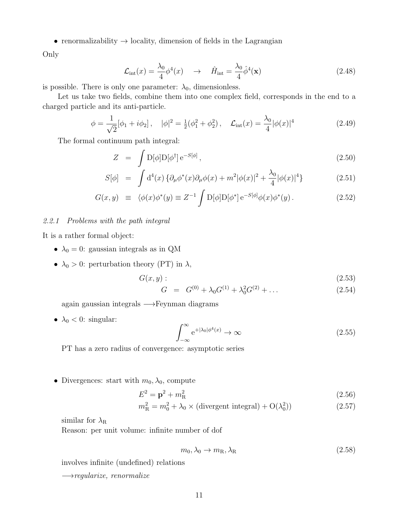• renormalizability  $\rightarrow$  locality, dimension of fields in the Lagrangian

Only

$$
\mathcal{L}_{\text{int}}(x) = \frac{\lambda_0}{4} \phi^4(x) \quad \rightarrow \quad \hat{H}_{\text{int}} = \frac{\lambda_0}{4} \hat{\phi}^4(\mathbf{x}) \tag{2.48}
$$

is possible. There is only one parameter:  $\lambda_0$ , dimensionless.

Let us take two fields, combine them into one complex field, corresponds in the end to a charged particle and its anti-particle.

$$
\phi = \frac{1}{\sqrt{2}} [\phi_1 + i\phi_2], \quad |\phi|^2 = \frac{1}{2} (\phi_1^2 + \phi_2^2), \quad \mathcal{L}_{\text{int}}(x) = \frac{\lambda_0}{4} |\phi(x)|^4 \tag{2.49}
$$

The formal continuum path integral:

$$
Z = \int D[\phi]D[\phi^{\dagger}] e^{-S[\phi]}, \qquad (2.50)
$$

$$
S[\phi] = \int d^4(x) \left\{ \partial_\mu \phi^*(x) \partial_\mu \phi(x) + m^2 |\phi(x)|^2 + \frac{\lambda_0}{4} |\phi(x)|^4 \right\} \tag{2.51}
$$

$$
G(x,y) \equiv \langle \phi(x)\phi^*(y) \equiv Z^{-1} \int D[\phi]D[\phi^*] e^{-S[\phi]} \phi(x)\phi^*(y). \tag{2.52}
$$

#### 2.2.1 Problems with the path integral

It is a rather formal object:

- $\lambda_0 = 0$ : gaussian integrals as in QM
- $\lambda_0 > 0$ : perturbation theory (PT) in  $\lambda$ ,

$$
G(x,y): \t\t(2.53)
$$

$$
G = G^{(0)} + \lambda_0 G^{(1)} + \lambda_0^2 G^{(2)} + \dots \tag{2.54}
$$

again gaussian integrals −→Feynman diagrams

•  $\lambda_0 < 0$ : singular:

$$
\int_{-\infty}^{\infty} e^{+|\lambda_0| \phi^4(x)} \to \infty \tag{2.55}
$$

PT has a zero radius of convergence: asymptotic series

• Divergences: start with  $m_0, \lambda_0$ , compute

$$
E^2 = \mathbf{p}^2 + m_R^2 \tag{2.56}
$$

$$
m_{\rm R}^2 = m_0^2 + \lambda_0 \times \text{(divergent integral)} + \mathcal{O}(\lambda_0^2) \tag{2.57}
$$

similar for  $\lambda_R$ 

Reason: per unit volume: infinite number of dof

$$
m_0, \lambda_0 \to m_{\rm R}, \lambda_{\rm R} \tag{2.58}
$$

involves infinite (undefined) relations

 $\longrightarrow$ regularize, renormalize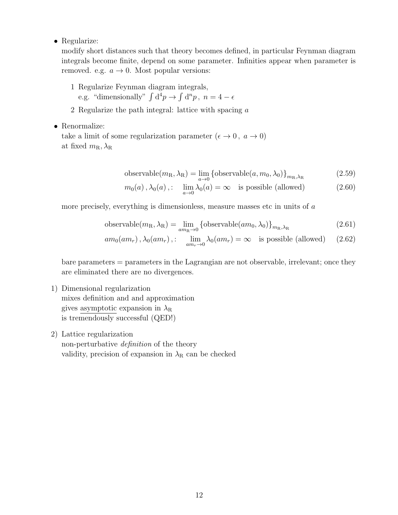• Regularize:

modify short distances such that theory becomes defined, in particular Feynman diagram integrals become finite, depend on some parameter. Infinities appear when parameter is removed. e.g.  $a \rightarrow 0$ . Most popular versions:

1 Regularize Feynman diagram integrals,

e.g. "dimensionally"  $\int d^4p \to \int d^np$ ,  $n = 4 - \epsilon$ 

- 2 Regularize the path integral: lattice with spacing a
- Renormalize:

take a limit of some regularization parameter  $(\epsilon \to 0, a \to 0)$ at fixed  $m_{\rm R}, \lambda_{\rm R}$ 

$$
\text{observable}(m_{\rm R}, \lambda_{\rm R}) = \lim_{a \to 0} \left\{ \text{observable}(a, m_0, \lambda_0) \right\}_{m_{\rm R}, \lambda_{\rm R}} \tag{2.59}
$$

$$
m_0(a)
$$
,  $\lambda_0(a)$ ,:  $\lim_{a \to 0} \lambda_0(a) = \infty$  is possible (allowed) (2.60)

more precisely, everything is dimensionless, measure masses etc in units of a

$$
\text{observable}(m_{\rm R}, \lambda_{\rm R}) = \lim_{am_{\rm R} \to 0} \left\{ \text{observable}(am_0, \lambda_0) \right\}_{m_{\rm R}, \lambda_{\rm R}} \tag{2.61}
$$

$$
am_0(am_r), \lambda_0(am_r),: \lim_{am_r \to 0} \lambda_0(am_r) = \infty
$$
 is possible (allowed) (2.62)

bare parameters = parameters in the Lagrangian are not observable, irrelevant; once they are eliminated there are no divergences.

- 1) Dimensional regularization mixes definition and and approximation gives asymptotic expansion in  $\lambda_R$ is tremendously successful (QED!)
- 2) Lattice regularization

non-perturbative definition of the theory validity, precision of expansion in  $\lambda_R$  can be checked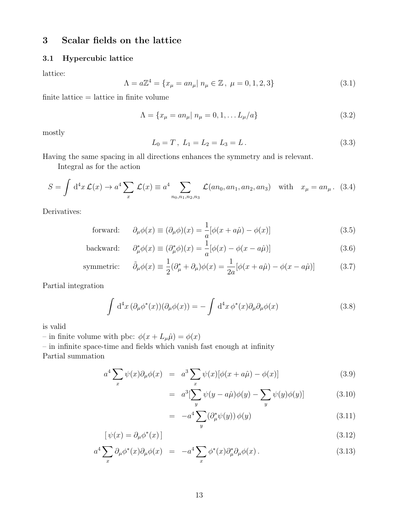## 3 Scalar fields on the lattice

### 3.1 Hypercubic lattice

lattice:

$$
\Lambda = a\mathbb{Z}^4 = \{x_\mu = a n_\mu | n_\mu \in \mathbb{Z}, \ \mu = 0, 1, 2, 3\}
$$
\n(3.1)

 $finite$  lattice  $=$  lattice in finite volume

$$
\Lambda = \{ x_{\mu} = a n_{\mu} | n_{\mu} = 0, 1, \dots L_{\mu}/a \}
$$
\n(3.2)

mostly

$$
L_0 = T, L_1 = L_2 = L_3 = L.
$$
\n(3.3)

Having the same spacing in all directions enhances the symmetry and is relevant.

Integral as for the action

$$
S = \int d^4x \mathcal{L}(x) \to a^4 \sum_x \mathcal{L}(x) \equiv a^4 \sum_{n_0, n_1, n_2, n_3} \mathcal{L}(an_0, an_1, an_2, an_3) \text{ with } x_\mu = an_\mu. \tag{3.4}
$$

Derivatives:

forward: 
$$
\partial_{\mu}\phi(x) \equiv (\partial_{\mu}\phi)(x) = \frac{1}{a}[\phi(x + a\hat{\mu}) - \phi(x)] \tag{3.5}
$$

$$
\text{backward:} \qquad \partial_{\mu}^* \phi(x) \equiv (\partial_{\mu}^* \phi)(x) = \frac{1}{a} [\phi(x) - \phi(x - a\hat{\mu})] \tag{3.6}
$$

symmetric: 
$$
\tilde{\partial}_{\mu}\phi(x) \equiv \frac{1}{2}(\partial_{\mu}^{*} + \partial_{\mu})\phi(x) = \frac{1}{2a}[\phi(x + a\hat{\mu}) - \phi(x - a\hat{\mu})]
$$
(3.7)

Partial integration

$$
\int d^4x \, (\partial_\mu \phi^*(x)) (\partial_\mu \phi(x)) = -\int d^4x \, \phi^*(x) \partial_\mu \partial_\mu \phi(x) \tag{3.8}
$$

is valid

– in finite volume with pbc:  $\phi(x + L_{\mu}\hat{\mu}) = \phi(x)$ 

– in infinite space-time and fields which vanish fast enough at infinity

Partial summation

$$
a^4 \sum_x \psi(x) \partial_\mu \phi(x) = a^3 \sum_x \psi(x) [\phi(x + a\hat{\mu}) - \phi(x)] \tag{3.9}
$$

$$
= a3[\sum_{y} \psi(y - a\hat{\mu})\phi(y) - \sum_{y} \psi(y)\phi(y)] \qquad (3.10)
$$

$$
= -a^4 \sum_{y} (\partial_{\mu}^* \psi(y)) \phi(y) \tag{3.11}
$$

$$
[\psi(x) = \partial_{\mu}\phi^*(x)] \tag{3.12}
$$

$$
a^4 \sum_x \partial_\mu \phi^*(x) \partial_\mu \phi(x) = -a^4 \sum_x \phi^*(x) \partial_\mu^* \partial_\mu \phi(x).
$$
 (3.13)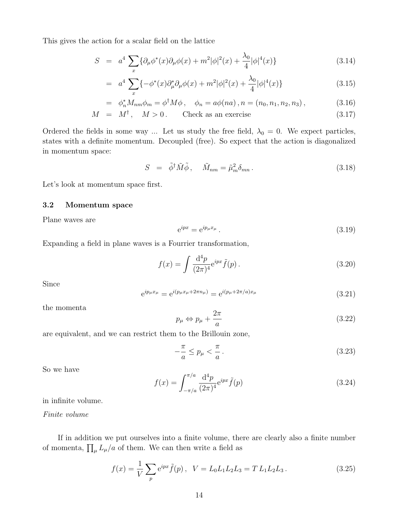This gives the action for a scalar field on the lattice

$$
S = a^{4} \sum_{x} {\partial_{\mu} \phi^{*}(x) \partial_{\mu} \phi(x) + m^{2} |\phi|^{2}(x) + \frac{\lambda_{0}}{4} |\phi|^{4}(x)}
$$
 (3.14)

$$
= a^4 \sum_x \{-\phi^*(x)\partial_\mu^* \partial_\mu \phi(x) + m^2 |\phi|^2(x) + \frac{\lambda_0}{4} |\phi|^4(x) \} \tag{3.15}
$$

$$
= \phi_n^* M_{nm} \phi_m = \phi^\dagger M \phi \,, \quad \phi_n = a \phi(na) \,, n = (n_0, n_1, n_2, n_3) \,, \tag{3.16}
$$

$$
M = M^{\dagger}, \quad M > 0. \qquad \text{Check as an exercise} \tag{3.17}
$$

Ordered the fields in some way ... Let us study the free field,  $\lambda_0 = 0$ . We expect particles, states with a definite momentum. Decoupled (free). So expect that the action is diagonalized in momentum space:

$$
S = \tilde{\phi}^{\dagger} \tilde{M} \tilde{\phi}, \quad \tilde{M}_{nm} = \tilde{\mu}_m^2 \delta_{mn}.
$$
 (3.18)

Let's look at momentum space first.

#### 3.2 Momentum space

Plane waves are

$$
e^{ipx} = e^{ip_{\mu}x_{\mu}}.
$$
\n
$$
(3.19)
$$

Expanding a field in plane waves is a Fourrier transformation,

$$
f(x) = \int \frac{d^4 p}{(2\pi)^4} e^{ipx} \tilde{f}(p).
$$
 (3.20)

Since

$$
e^{ip_{\mu}x_{\mu}} = e^{i(p_{\mu}x_{\mu} + 2\pi n_{\mu})} = e^{i(p_{\mu} + 2\pi/a)x_{\mu}}
$$
\n(3.21)

the momenta

$$
p_{\mu} \Leftrightarrow p_{\mu} + \frac{2\pi}{a} \tag{3.22}
$$

are equivalent, and we can restrict them to the Brillouin zone,

$$
-\frac{\pi}{a} \le p_{\mu} < \frac{\pi}{a} \,. \tag{3.23}
$$

So we have

$$
f(x) = \int_{-\pi/a}^{\pi/a} \frac{d^4 p}{(2\pi)^4} e^{ipx} \tilde{f}(p)
$$
 (3.24)

in infinite volume.

Finite volume

If in addition we put ourselves into a finite volume, there are clearly also a finite number of momenta,  $\prod_{\mu} L_{\mu}/a$  of them. We can then write a field as

$$
f(x) = \frac{1}{V} \sum_{p} e^{ipx} \tilde{f}(p), \quad V = L_0 L_1 L_2 L_3 = T L_1 L_2 L_3. \tag{3.25}
$$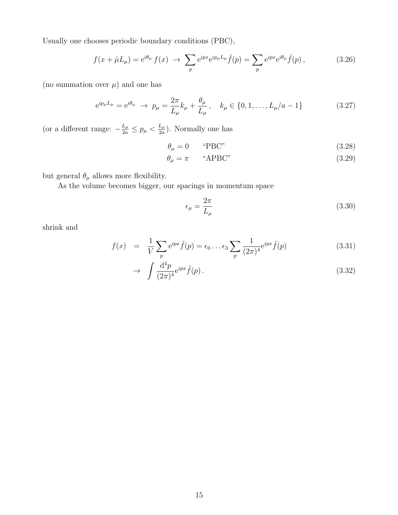Usually one chooses periodic boundary conditions (PBC),

$$
f(x+\hat{\mu}L_{\mu}) = e^{i\theta_{\mu}} f(x) \rightarrow \sum_{p} e^{ipx} e^{ip_{\mu}L_{\mu}} \tilde{f}(p) = \sum_{p} e^{ipx} e^{i\theta_{\mu}} \tilde{f}(p) ,
$$
 (3.26)

(no summation over  $\mu$ ) and one has

$$
e^{ip_{\mu}L_{\mu}} = e^{i\theta_{\mu}} \to p_{\mu} = \frac{2\pi}{L_{\mu}}k_{\mu} + \frac{\theta_{\mu}}{L_{\mu}}, \quad k_{\mu} \in \{0, 1, \dots, L_{\mu}/a - 1\}
$$
(3.27)

(or a different range:  $-\frac{L_\mu}{2a} \leq p_\mu < \frac{L_\mu}{2a}$  $\frac{L_{\mu}}{2a}$ ). Normally one has

$$
\theta_{\mu} = 0 \qquad \text{``PBC''} \tag{3.28}
$$

$$
\theta_{\mu} = \pi \qquad \text{``APBC''} \tag{3.29}
$$

but general  $\theta_\mu$  allows more flexibility.

As the volume becomes bigger, our spacings in momentum space

$$
\epsilon_{\mu} = \frac{2\pi}{L_{\mu}}\tag{3.30}
$$

shrink and

$$
f(x) = \frac{1}{V} \sum_{p} e^{ipx} \tilde{f}(p) = \epsilon_0 \dots \epsilon_3 \sum_{p} \frac{1}{(2\pi)^4} e^{ipx} \tilde{f}(p)
$$
 (3.31)

$$
\rightarrow \int \frac{\mathrm{d}^4 p}{(2\pi)^4} e^{ipx} \tilde{f}(p) \,. \tag{3.32}
$$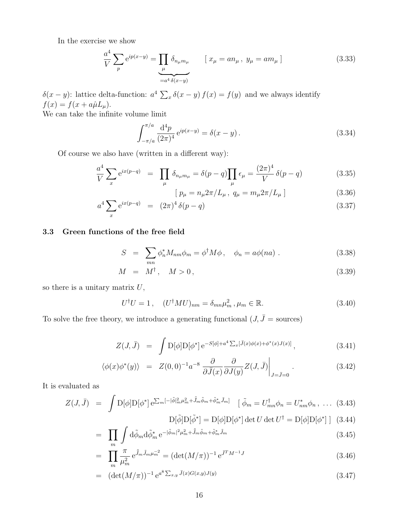In the exercise we show

$$
\frac{a^4}{V} \sum_{p} e^{ip(x-y)} = \prod_{\mu} \delta_{n_{\mu}m_{\mu}} \qquad [x_{\mu} = an_{\mu}, y_{\mu} = am_{\mu}]
$$
\n(3.33)

δ(x – y): lattice delta-function:  $a^4 \sum_x \delta(x - y) f(x) = f(y)$  and we always identify  $f(x) = f(x + a\hat{\mu}L_{\mu}).$ 

We can take the infinite volume limit

$$
\int_{-\pi/a}^{\pi/a} \frac{d^4 p}{(2\pi)^4} e^{ip(x-y)} = \delta(x-y).
$$
 (3.34)

Of course we also have (written in a different way):

$$
\frac{a^4}{V} \sum_x e^{ix(p-q)} = \prod_{\mu} \delta_{n_{\mu}m_{\mu}} = \delta(p-q) \prod_{\mu} \epsilon_{\mu} = \frac{(2\pi)^4}{V} \delta(p-q)
$$
(3.35)

$$
[p_{\mu} = n_{\mu} 2\pi / L_{\mu}, q_{\mu} = m_{\mu} 2\pi / L_{\mu}]
$$
 (3.36)

$$
a^4 \sum_{x} e^{ix(p-q)} = (2\pi)^4 \delta(p-q)
$$
\n(3.37)

#### 3.3 Green functions of the free field

$$
S = \sum_{mn} \phi_n^* M_{nm} \phi_m = \phi^\dagger M \phi \,, \quad \phi_n = a \phi(na) \,.
$$
 (3.38)

$$
M = M^{\dagger}, \quad M > 0, \tag{3.39}
$$

so there is a unitary matrix  $\boldsymbol{U},$ 

$$
U^{\dagger}U = 1, \quad (U^{\dagger}MU)_{nm} = \delta_{mn}\mu_m^2, \mu_m \in \mathbb{R}.
$$
 (3.40)

To solve the free theory, we introduce a generating functional  $(J, \bar{J} =$  sources)

$$
Z(J,\bar{J}) = \int \mathcal{D}[\phi] \mathcal{D}[\phi^*] e^{-S[\phi] + a^4 \sum_x [\bar{J}(x)\phi(x) + \phi^*(x)J(x)]}, \qquad (3.41)
$$

$$
\langle \phi(x)\phi^*(y) \rangle = Z(0,0)^{-1}a^{-8} \left. \frac{\partial}{\partial \bar{J}(x)} \frac{\partial}{\partial J(y)} Z(J,\bar{J}) \right|_{J=\bar{J}=0} . \tag{3.42}
$$

It is evaluated as

$$
Z(J,\bar{J}) = \int \mathcal{D}[\phi] \mathcal{D}[\phi^*] e^{\sum_m [-|\tilde{\phi}|_m^2 \mu_m^2 + \tilde{\bar{J}}_m \tilde{\phi}_m + \tilde{\phi}_m^* \tilde{J}_m]} \quad [\tilde{\phi}_m = U_{mn}^\dagger \phi_n = U_{nm}^* \phi_n , \dots (3.43)
$$

$$
D[\tilde{\phi}]D[\tilde{\phi}^*] = D[\phi]D[\phi^*] \det U \det U^{\dagger} = D[\phi]D[\phi^*] \; ] \tag{3.44}
$$

$$
= \prod_{m} \int d\tilde{\phi}_m d\tilde{\phi}_m^* e^{-|\tilde{\phi}_m|^2 \mu_m^2 + \tilde{\bar{J}}_m \tilde{\phi}_m + \tilde{\phi}_m^* \tilde{J}_m}
$$
\n(3.45)

$$
= \prod_{m} \frac{\pi}{\mu_m^2} e^{\tilde{J}_m \tilde{J}_m \mu_m^{-2}} = (\det(M/\pi))^{-1} e^{\bar{J}^T M^{-1} J} \tag{3.46}
$$

$$
= (\det(M/\pi))^{-1} e^{a^8 \sum_{x,y} \bar{J}(x)G(x,y)J(y)} \tag{3.47}
$$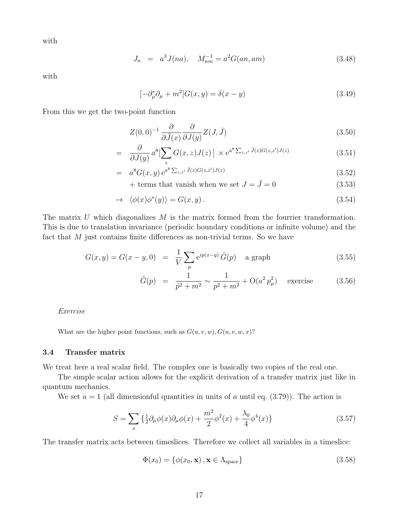with

$$
J_n = a^3 J(na), \quad M_{nm}^{-1} = a^2 G(an, am) \tag{3.48}
$$

with

$$
[-\partial_{\mu}^* \partial_{\mu} + m^2]G(x, y) = \delta(x - y)
$$
\n(3.49)

From this we get the two-point function

$$
Z(0,0)^{-1} \frac{\partial}{\partial \bar{J}(x)} \frac{\partial}{\partial J(y)} Z(J,\bar{J}) \tag{3.50}
$$

$$
= \frac{\partial}{\partial J(y)} a^8 \left[ \sum_z G(x, z) J(z) \right] \times e^{a^8 \sum_{z, z'} \bar{J}(z) G(z, z') J(z)} \tag{3.51}
$$

$$
= a^8 G(x, y) e^{a^8 \sum_{z,z'} \bar{J}(z) G(z, z') J(z)}
$$
\n(3.52)

+ terms that vanish when we set  $J = \bar{J} = 0$  (3.53)

$$
\rightarrow \langle \phi(x)\phi^*(y) \rangle = G(x, y). \tag{3.54}
$$

The matrix  $U$  which diagonalizes  $M$  is the matrix formed from the fourrier transformation. This is due to translation invariance (periodic boundary conditions or infinite volume) and the fact that M just contains finite differences as non-trivial terms. So we have

$$
G(x, y) = G(x - y, 0) = \frac{1}{V} \sum_{p} e^{ip(x - y)} \tilde{G}(p) \text{ a graph}
$$
 (3.55)

$$
\tilde{G}(p) = \frac{1}{\hat{p}^2 + m^2} \sim \frac{1}{p^2 + m^2} + \mathcal{O}(a^2 p_\mu^2) \quad \text{exercise} \tag{3.56}
$$

Exercise

What are the higher point functions, such as  $G(u, v, w), G(u, v, w, x)$ ?

#### 3.4 Transfer matrix

We treat here a real scalar field. The complex one is basically two copies of the real one.

The simple scalar action allows for the explicit derivation of a transfer matrix just like in quantum mechanics.

We set  $a = 1$  (all dimensionful quantities in units of a until eq. (3.79)). The action is

$$
S = \sum_{x} \left\{ \frac{1}{2} \partial_{\mu} \phi(x) \partial_{\mu} \phi(x) + \frac{m^2}{2} \phi^2(x) + \frac{\lambda_0}{4} \phi^4(x) \right\}
$$
(3.57)

The transfer matrix acts between timeslices. Therefore we collect all variables in a timeslice:

$$
\Phi(x_0) = \{ \phi(x_0, \mathbf{x}), \mathbf{x} \in \Lambda_{\text{space}} \}
$$
\n(3.58)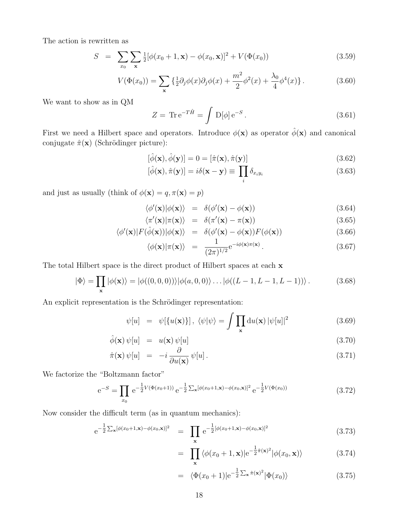The action is rewritten as

$$
S = \sum_{x_0} \sum_{\mathbf{x}} \frac{1}{2} [\phi(x_0 + 1, \mathbf{x}) - \phi(x_0, \mathbf{x})]^2 + V(\Phi(x_0))
$$
(3.59)

$$
V(\Phi(x_0)) = \sum_{\mathbf{x}} \left\{ \frac{1}{2} \partial_j \phi(x) \partial_j \phi(x) + \frac{m^2}{2} \phi^2(x) + \frac{\lambda_0}{4} \phi^4(x) \right\}.
$$
 (3.60)

We want to show as in QM

$$
Z = \text{Tr} \,\mathbf{e}^{-T\hat{H}} = \int \mathcal{D}[\phi] \,\mathbf{e}^{-S} \,. \tag{3.61}
$$

First we need a Hilbert space and operators. Introduce  $\phi(\mathbf{x})$  as operator  $\hat{\phi}(\mathbf{x})$  and canonical conjugate  $\hat{\pi}(\mathbf{x})$  (Schrödinger picture):

$$
[\hat{\phi}(\mathbf{x}), \hat{\phi}(\mathbf{y})] = 0 = [\hat{\pi}(\mathbf{x}), \hat{\pi}(\mathbf{y})]
$$
\n(3.62)

$$
[\hat{\phi}(\mathbf{x}), \hat{\pi}(\mathbf{y})] = i\delta(\mathbf{x} - \mathbf{y}) \equiv \prod_{i} \delta_{x_i y_i}
$$
\n(3.63)

and just as usually (think of  $\phi(\mathbf{x}) = q, \pi(\mathbf{x}) = p)$ 

$$
\langle \phi'(\mathbf{x}) | \phi(\mathbf{x}) \rangle = \delta(\phi'(\mathbf{x}) - \phi(\mathbf{x})) \tag{3.64}
$$

$$
\langle \pi'(\mathbf{x}) | \pi(\mathbf{x}) \rangle = \delta(\pi'(\mathbf{x}) - \pi(\mathbf{x})) \tag{3.65}
$$

$$
\langle \phi'(\mathbf{x}) | F(\hat{\phi}(\mathbf{x})) | \phi(\mathbf{x}) \rangle = \delta(\phi'(\mathbf{x}) - \phi(\mathbf{x})) F(\phi(\mathbf{x})) \tag{3.66}
$$

$$
\langle \phi(\mathbf{x}) | \pi(\mathbf{x}) \rangle = \frac{1}{(2\pi)^{1/2}} e^{-i\phi(\mathbf{x})\pi(\mathbf{x})} . \tag{3.67}
$$

The total Hilbert space is the direct product of Hilbert spaces at each  $x$ 

$$
|\Phi\rangle = \prod_{\mathbf{x}} |\phi(\mathbf{x})\rangle = |\phi((0,0,0))\rangle |\phi(a,0,0)\rangle \dots |\phi((L-1,L-1,L-1))\rangle. \tag{3.68}
$$

An explicit representation is the Schrödinger representation:

$$
\psi[u] = \psi[\{u(\mathbf{x})\}], \langle \psi | \psi \rangle = \int \prod_{\mathbf{x}} du(\mathbf{x}) |\psi[u]|^2 \tag{3.69}
$$

$$
\hat{\phi}(\mathbf{x})\,\psi[u] = u(\mathbf{x})\,\psi[u] \tag{3.70}
$$

$$
\hat{\pi}(\mathbf{x})\,\psi[u] = -i\,\frac{\partial}{\partial u(\mathbf{x})}\,\psi[u].\tag{3.71}
$$

We factorize the "Boltzmann factor"

$$
e^{-S} = \prod_{x_0} e^{-\frac{1}{2}V(\Phi(x_0+1))} e^{-\frac{1}{2}\sum_{\mathbf{x}} [\phi(x_0+1,\mathbf{x}) - \phi(x_0,\mathbf{x})]^2} e^{-\frac{1}{2}V(\Phi(x_0))}
$$
(3.72)

Now consider the difficult term (as in quantum mechanics):

$$
e^{-\frac{1}{2}\sum_{\mathbf{x}}[\phi(x_0+1,\mathbf{x})-\phi(x_0,\mathbf{x})]^2} = \prod_{\mathbf{x}} e^{-\frac{1}{2}[\phi(x_0+1,\mathbf{x})-\phi(x_0,\mathbf{x})]^2}
$$
(3.73)

$$
= \prod_{\mathbf{x}} \langle \phi(x_0+1, \mathbf{x}) | e^{-\frac{1}{2}\hat{\pi}(\mathbf{x})^2} | \phi(x_0, \mathbf{x}) \rangle \tag{3.74}
$$

$$
= \langle \Phi(x_0+1)|e^{-\frac{1}{2}\sum_{\mathbf{x}}\hat{\pi}(\mathbf{x})^2}|\Phi(x_0)\rangle \qquad (3.75)
$$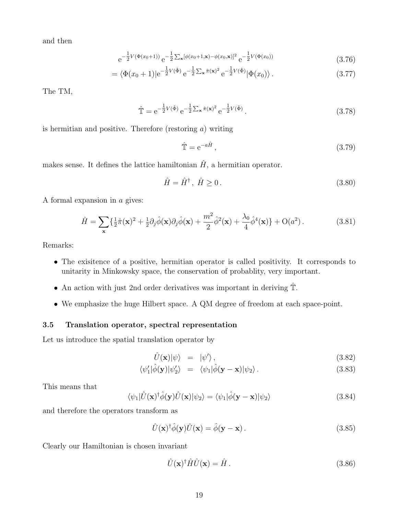and then

$$
e^{-\frac{1}{2}V(\Phi(x_0+1))}e^{-\frac{1}{2}\sum_{\mathbf{x}}[\phi(x_0+1,\mathbf{x})-\phi(x_0,\mathbf{x})]^2}e^{-\frac{1}{2}V(\Phi(x_0))}
$$
(3.76)

$$
= \langle \Phi(x_0+1)|e^{-\frac{1}{2}V(\hat{\Phi})}e^{-\frac{1}{2}\sum_{\mathbf{x}}\hat{\pi}(\mathbf{x})^2}e^{-\frac{1}{2}V(\hat{\Phi})}|\Phi(x_0)\rangle.
$$
 (3.77)

The TM,

$$
\hat{\mathbb{T}} = e^{-\frac{1}{2}V(\hat{\Phi})} e^{-\frac{1}{2}\sum_{\mathbf{x}} \hat{\pi}(\mathbf{x})^2} e^{-\frac{1}{2}V(\hat{\Phi})}.
$$
\n(3.78)

is hermitian and positive. Therefore (restoring  $a$ ) writing

$$
\hat{\mathbb{T}} = e^{-a\hat{H}},\tag{3.79}
$$

makes sense. It defines the lattice hamiltonian  $\hat{H}$ , a hermitian operator.

$$
\hat{H} = \hat{H}^{\dagger}, \ \hat{H} \ge 0. \tag{3.80}
$$

A formal expansion in a gives:

$$
\hat{H} = \sum_{\mathbf{x}} \left\{ \frac{1}{2} \hat{\pi}(\mathbf{x})^2 + \frac{1}{2} \partial_j \hat{\phi}(\mathbf{x}) \partial_j \hat{\phi}(\mathbf{x}) + \frac{m^2}{2} \hat{\phi}^2(\mathbf{x}) + \frac{\lambda_0}{4} \hat{\phi}^4(\mathbf{x}) \right\} + \mathcal{O}(a^2) \,. \tag{3.81}
$$

Remarks:

- The exisitence of a positive, hermitian operator is called positivity. It corresponds to unitarity in Minkowsky space, the conservation of probablity, very important.
- An action with just 2nd order derivatives was important in deriving Tˆ.
- We emphasize the huge Hilbert space. A QM degree of freedom at each space-point.

#### 3.5 Translation operator, spectral representation

Let us introduce the spatial translation operator by

$$
\hat{U}(\mathbf{x})|\psi\rangle = |\psi'\rangle, \qquad (3.82)
$$

$$
\langle \psi_1' | \hat{\phi}(\mathbf{y}) | \psi_2' \rangle = \langle \psi_1 | \hat{\phi}(\mathbf{y} - \mathbf{x}) | \psi_2 \rangle. \tag{3.83}
$$

This means that

$$
\langle \psi_1 | \hat{U}(\mathbf{x})^\dagger \hat{\phi}(\mathbf{y}) \hat{U}(\mathbf{x}) | \psi_2 \rangle = \langle \psi_1 | \hat{\phi}(\mathbf{y} - \mathbf{x}) | \psi_2 \rangle \tag{3.84}
$$

and therefore the operators transform as

$$
\hat{U}(\mathbf{x})^{\dagger} \hat{\phi}(\mathbf{y}) \hat{U}(\mathbf{x}) = \hat{\phi}(\mathbf{y} - \mathbf{x}). \tag{3.85}
$$

Clearly our Hamiltonian is chosen invariant

$$
\hat{U}(\mathbf{x})^{\dagger}\hat{H}\hat{U}(\mathbf{x}) = \hat{H}.
$$
\n(3.86)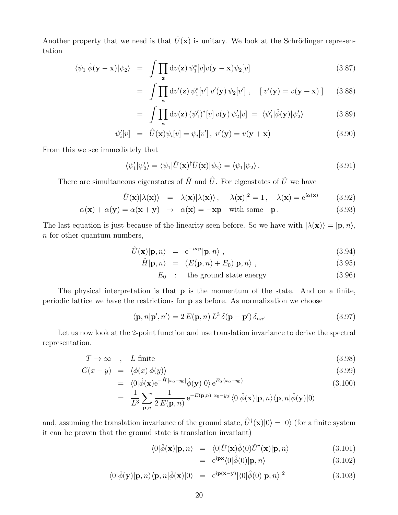Another property that we need is that  $\hat{U}(\mathbf{x})$  is unitary. We look at the Schrödinger representation

$$
\langle \psi_1 | \hat{\phi} (\mathbf{y} - \mathbf{x}) | \psi_2 \rangle = \int \prod_{\mathbf{z}} dv(\mathbf{z}) \psi_1^* [v] v(\mathbf{y} - \mathbf{x}) \psi_2 [v]
$$
 (3.87)

$$
= \int \prod_{\mathbf{z}} dv'(\mathbf{z}) \psi_1^*[v'] v'(\mathbf{y}) \psi_2[v'] , \quad [v'(\mathbf{y}) = v(\mathbf{y} + \mathbf{x}) ] \qquad (3.88)
$$

$$
= \int \prod_{\mathbf{z}} \mathrm{d}v(\mathbf{z}) \left( \psi_1' \right)^* [v] \, v(\mathbf{y}) \, \psi_2'[v] \; = \; \langle \psi_1' | \hat{\phi}(\mathbf{y}) | \psi_2' \rangle \tag{3.89}
$$

$$
\psi_i'[v] = \hat{U}(\mathbf{x})\psi_i[v] = \psi_i[v'], \ v'(\mathbf{y}) = v(\mathbf{y} + \mathbf{x})
$$
\n(3.90)

From this we see immediately that

$$
\langle \psi_1' | \psi_2' \rangle = \langle \psi_1 | \hat{U}(\mathbf{x})^\dagger \hat{U}(\mathbf{x}) | \psi_2 \rangle = \langle \psi_1 | \psi_2 \rangle. \tag{3.91}
$$

There are simultaneous eigenstates of  $\hat{H}$  and  $\hat{U}$ . For eigenstates of  $\hat{U}$  we have

$$
\hat{U}(\mathbf{x})|\lambda(\mathbf{x})\rangle = \lambda(\mathbf{x})|\lambda(\mathbf{x})\rangle, \quad |\lambda(\mathbf{x})|^2 = 1, \quad \lambda(\mathbf{x}) = e^{i\alpha(\mathbf{x})} \tag{3.92}
$$

$$
\alpha(\mathbf{x}) + \alpha(\mathbf{y}) = \alpha(\mathbf{x} + \mathbf{y}) \rightarrow \alpha(\mathbf{x}) = -\mathbf{x}\mathbf{p} \quad \text{with some} \quad \mathbf{p}. \tag{3.93}
$$

The last equation is just because of the linearity seen before. So we have with  $|\lambda(\mathbf{x})\rangle = |\mathbf{p}, n\rangle$ , n for other quantum numbers,

$$
\hat{U}(\mathbf{x})|\mathbf{p},n\rangle = e^{-i\mathbf{x}\mathbf{p}}|\mathbf{p},n\rangle ,\qquad (3.94)
$$

$$
\hat{H}|\mathbf{p},n\rangle = (E(\mathbf{p},n) + E_0)|\mathbf{p},n\rangle ,\qquad (3.95)
$$

$$
E_0 : \t\t the ground state energy \t\t(3.96)
$$

The physical interpretation is that **p** is the momentum of the state. And on a finite, periodic lattice we have the restrictions for p as before. As normalization we choose

$$
\langle \mathbf{p}, n | \mathbf{p}', n' \rangle = 2 E(\mathbf{p}, n) L^3 \delta(\mathbf{p} - \mathbf{p}') \delta_{nn'} \tag{3.97}
$$

Let us now look at the 2-point function and use translation invariance to derive the spectral representation.

$$
T \to \infty \quad , \quad L \text{ finite} \tag{3.98}
$$

$$
G(x - y) = \langle \phi(x) \phi(y) \rangle \tag{3.99}
$$

$$
= \langle 0|\hat{\phi}(\mathbf{x})e^{-\hat{H}|x_0-y_0|}\hat{\phi}(\mathbf{y})|0\rangle e^{E_0(x_0-y_0)} \n1 \sum_{-E(\mathbf{p},n)|x_0-y_0|/\langle 0|\hat{\psi}(\mathbf{x})| \leq \lambda} (3.100)
$$

$$
= \frac{1}{L^3} \sum_{\mathbf{p},n} \frac{1}{2 E(\mathbf{p},n)} e^{-E(\mathbf{p},n)|x_0-y_0|} \langle 0|\hat{\phi}(\mathbf{x})|\mathbf{p},n\rangle \langle \mathbf{p},n|\hat{\phi}(\mathbf{y})|0\rangle
$$

and, assuming the translation invariance of the ground state,  $\hat{U}^{\dagger}(\mathbf{x})|0\rangle = |0\rangle$  (for a finite system it can be proven that the ground state is translation invariant)

$$
\langle 0|\hat{\phi}(\mathbf{x})|\mathbf{p},n\rangle = \langle 0|\hat{U}(\mathbf{x})\hat{\phi}(0)\hat{U}^{\dagger}(\mathbf{x})|\mathbf{p},n\rangle \qquad (3.101)
$$

$$
= e^{i\mathbf{p}\mathbf{x}} \langle 0|\hat{\phi}(0)|\mathbf{p}, n \rangle \tag{3.102}
$$

$$
\langle 0|\hat{\phi}(\mathbf{y})|\mathbf{p},n\rangle\langle\mathbf{p},n|\hat{\phi}(\mathbf{x})|0\rangle = e^{i\mathbf{p}(\mathbf{x}-\mathbf{y})}|\langle 0|\hat{\phi}(0)|\mathbf{p},n\rangle|^2
$$
\n(3.103)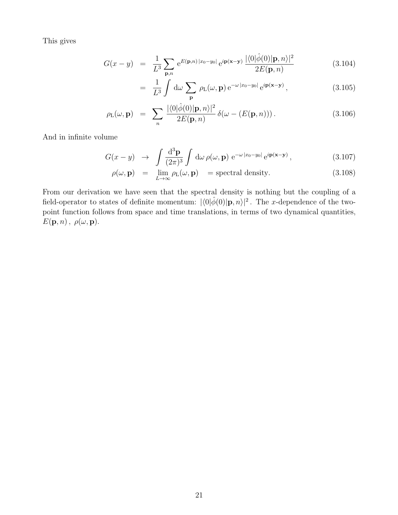This gives

$$
G(x - y) = \frac{1}{L^3} \sum_{\mathbf{p}, n} e^{E(\mathbf{p}, n)|x_0 - y_0|} e^{i \mathbf{p}(\mathbf{x} - \mathbf{y})} \frac{|\langle 0|\hat{\phi}(0)|\mathbf{p}, n\rangle|^2}{2E(\mathbf{p}, n)}
$$
(3.104)

$$
= \frac{1}{L^3} \int d\omega \sum_{\mathbf{p}} \rho_L(\omega, \mathbf{p}) e^{-\omega |x_0 - y_0|} e^{i \mathbf{p}(\mathbf{x} - \mathbf{y})}, \qquad (3.105)
$$

$$
\rho_{\mathcal{L}}(\omega, \mathbf{p}) = \sum_{n} \frac{|\langle 0|\hat{\phi}(0)|\mathbf{p}, n\rangle|^2}{2E(\mathbf{p}, n)} \delta(\omega - (E(\mathbf{p}, n))). \qquad (3.106)
$$

And in infinite volume

$$
G(x - y) \rightarrow \int \frac{\mathrm{d}^3 \mathbf{p}}{(2\pi)^3} \int \mathrm{d}\omega \,\rho(\omega, \mathbf{p}) \,\,\mathrm{e}^{-\omega |x_0 - y_0|} \,\mathrm{e}^{i \mathbf{p}(\mathbf{x} - \mathbf{y})},\tag{3.107}
$$

$$
\rho(\omega, \mathbf{p}) = \lim_{L \to \infty} \rho_L(\omega, \mathbf{p}) = \text{spectral density.}
$$
\n(3.108)

From our derivation we have seen that the spectral density is nothing but the coupling of a field-operator to states of definite momentum:  $|\langle 0|\hat{\phi}(0)|\mathbf{p}, n\rangle|^2$ . The x-dependence of the twopoint function follows from space and time translations, in terms of two dynamical quantities,  $E(\mathbf{p}, n)$ ,  $\rho(\omega, \mathbf{p})$ .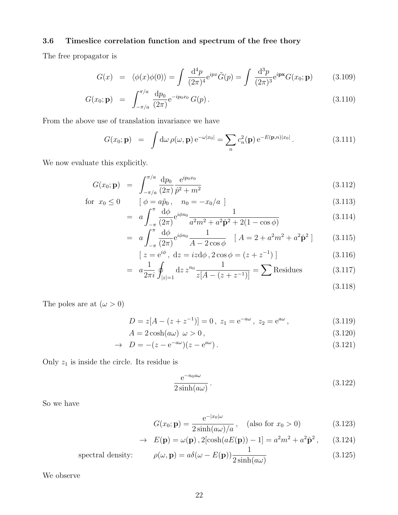### 3.6 Timeslice correlation function and spectrum of the free thory

The free propagator is

$$
G(x) = \langle \phi(x)\phi(0) \rangle = \int \frac{\mathrm{d}^4 p}{(2\pi)^4} e^{ipx} \tilde{G}(p) = \int \frac{\mathrm{d}^3 p}{(2\pi)^3} e^{ipx} G(x_0; \mathbf{p}) \qquad (3.109)
$$

$$
G(x_0; \mathbf{p}) = \int_{-\pi/a}^{\pi/a} \frac{dp_0}{(2\pi)} e^{-ip_0 x_0} G(p) . \qquad (3.110)
$$

From the above use of translation invariance we have

$$
G(x_0; \mathbf{p}) = \int d\omega \,\rho(\omega, \mathbf{p}) e^{-\omega |x_0|} = \sum_n c_n^2(\mathbf{p}) e^{-E(\mathbf{p}, n)|x_0|}.
$$
 (3.111)

We now evaluate this explicitly.

$$
G(x_0; \mathbf{p}) = \int_{-\pi/a}^{\pi/a} \frac{dp_0}{(2\pi)} \frac{e^{ip_0 x_0}}{\hat{p}^2 + m^2}
$$
(3.112)

for 
$$
x_0 \le 0
$$
  $[\phi = a\tilde{p}_0, n_0 = -x_0/a]$  (3.113)

$$
= a \int_{-\pi}^{\pi} \frac{d\phi}{(2\pi)} e^{i\phi n_0} \frac{1}{a^2 m^2 + a^2 \hat{\mathbf{p}}^2 + 2(1 - \cos \phi)}
$$
(3.114)

$$
= a \int_{-\pi}^{\pi} \frac{d\phi}{(2\pi)} e^{i\phi n_0} \frac{1}{A - 2\cos\phi} \quad [A = 2 + a^2 m^2 + a^2 \hat{\mathbf{p}}^2] \tag{3.115}
$$

$$
[z = e^{i\phi}, dz = izd\phi, 2\cos\phi = (z + z^{-1})]
$$
 (3.116)

$$
= a \frac{1}{2\pi i} \oint_{|z|=1} dz \, z^{n_0} \frac{1}{z[A - (z + z^{-1})]} = \sum \text{Residues}
$$
 (3.117)

(3.118)

The poles are at  $(\omega > 0)$ 

$$
D = z[A - (z + z^{-1})] = 0, \ z_1 = e^{-a\omega}, \ z_2 = e^{a\omega}, \tag{3.119}
$$

$$
A = 2\cosh(a\omega) \ \omega > 0\,,\tag{3.120}
$$

$$
\rightarrow D = -(z - e^{-a\omega})(z - e^{a\omega}). \tag{3.121}
$$

Only  $z_1$  is inside the circle. Its residue is

$$
\frac{e^{-n_0 a\omega}}{2\sinh(a\omega)}\,. \tag{3.122}
$$

So we have

$$
G(x_0; \mathbf{p}) = \frac{e^{-|x_0|\omega}}{2\sinh(a\omega)/a}, \quad \text{(also for } x_0 > 0\text{)}\tag{3.123}
$$

$$
\rightarrow E(\mathbf{p}) = \omega(\mathbf{p}), 2[\cosh(aE(\mathbf{p})) - 1] = a^2m^2 + a^2\hat{\mathbf{p}}^2, \qquad (3.124)
$$

spectral density: 
$$
\rho(\omega, \mathbf{p}) = a\delta(\omega - E(\mathbf{p})) \frac{1}{2\sinh(a\omega)}
$$
(3.125)

We observe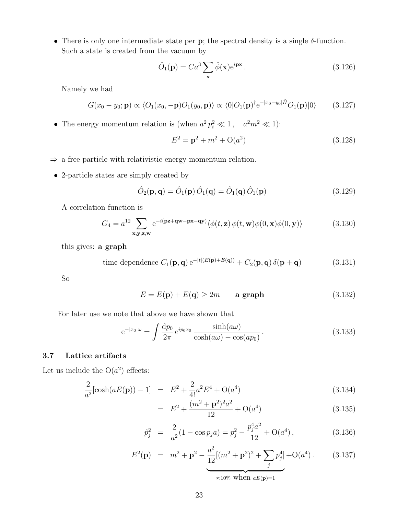• There is only one intermediate state per  $\bf{p}$ ; the spectral density is a single  $\delta$ -function. Such a state is created from the vacuum by

$$
\hat{O}_1(\mathbf{p}) = Ca^3 \sum_{\mathbf{x}} \hat{\phi}(\mathbf{x}) e^{i\mathbf{p}\mathbf{x}}.
$$
\n(3.126)

Namely we had

$$
G(x_0 - y_0; \mathbf{p}) \propto \langle O_1(x_0, -\mathbf{p})O_1(y_0, \mathbf{p}) \rangle \propto \langle 0|O_1(\mathbf{p})^{\dagger} e^{-|x_0 - y_0| \hat{H}} O_1(\mathbf{p}) |0\rangle \qquad (3.127)
$$

• The energy momentum relation is (when  $a^2 p_i^2 \ll 1$ ,  $a^2 m^2 \ll 1$ ):

$$
E^2 = \mathbf{p}^2 + m^2 + O(a^2)
$$
 (3.128)

- $\Rightarrow$  a free particle with relativistic energy momentum relation.
- 2-particle states are simply created by

$$
\hat{O}_2(\mathbf{p}, \mathbf{q}) = \hat{O}_1(\mathbf{p}) \hat{O}_1(\mathbf{q}) = \hat{O}_1(\mathbf{q}) \hat{O}_1(\mathbf{p})
$$
\n(3.129)

A correlation function is

$$
G_4 = a^{12} \sum_{\mathbf{x}, \mathbf{y}, \mathbf{z}, \mathbf{w}} e^{-i(\mathbf{p}\mathbf{z} + \mathbf{q}\mathbf{w} - \mathbf{p}\mathbf{x} - \mathbf{q}\mathbf{y})} \langle \phi(t, \mathbf{z}) \phi(t, \mathbf{w}) \phi(0, \mathbf{x}) \phi(0, \mathbf{y}) \rangle
$$
(3.130)

this gives: a graph

time dependence 
$$
C_1(\mathbf{p}, \mathbf{q}) e^{-|t|(E(\mathbf{p}) + E(\mathbf{q}))} + C_2(\mathbf{p}, \mathbf{q}) \delta(\mathbf{p} + \mathbf{q})
$$
 (3.131)

So

$$
E = E(\mathbf{p}) + E(\mathbf{q}) \ge 2m \qquad \text{a graph} \tag{3.132}
$$

For later use we note that above we have shown that

$$
e^{-|x_0|\omega} = \int \frac{dp_0}{2\pi} e^{ip_0x_0} \frac{\sinh(a\omega)}{\cosh(a\omega) - \cos(ap_0)}.
$$
\n(3.133)

#### 3.7 Lattice artifacts

Let us include the  $O(a^2)$  effects:

$$
\frac{2}{a^2}[\cosh(aE(\mathbf{p})) - 1] = E^2 + \frac{2}{4!}a^2E^4 + O(a^4)
$$
\n(3.134)

$$
= E2 + \frac{(m2 + \mathbf{p}2)2a2}{12} + O(a4)
$$
 (3.135)

$$
\hat{p}_j^2 = \frac{2}{a^2} (1 - \cos p_j a) = p_j^2 - \frac{p_j^4 a^2}{12} + O(a^4) \,, \tag{3.136}
$$

$$
E^{2}(\mathbf{p}) = m^{2} + \mathbf{p}^{2} - \underbrace{\frac{a^{2}}{12}[(m^{2} + \mathbf{p}^{2})^{2} + \sum_{j} p_{j}^{4}] + O(a^{4})}_{j}.
$$
 (3.137)

≈10% when  $aE(p)=1$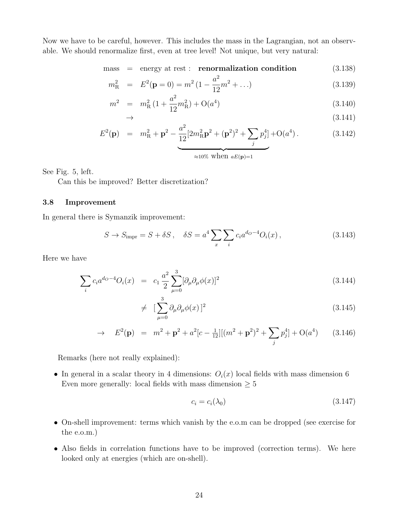Now we have to be careful, however. This includes the mass in the Lagrangian, not an observable. We should renormalize first, even at tree level! Not unique, but very natural:

 $mass$  = energy at rest : **renormalization condition** (3.138)

$$
m_{\rm R}^2 = E^2(\mathbf{p} = 0) = m^2 \left(1 - \frac{a^2}{12}m^2 + \ldots\right)
$$
 (3.139)

$$
m^{2} = m_{\text{R}}^{2} (1 + \frac{a^{2}}{12} m_{\text{R}}^{2}) + \mathcal{O}(a^{4})
$$
\n
$$
\rightarrow \tag{3.140}
$$
\n
$$
(3.141)
$$

$$
E^{2}(\mathbf{p}) = m_{\mathrm{R}}^{2} + \mathbf{p}^{2} - \frac{a^{2}}{12} [2m_{\mathrm{R}}^{2} \mathbf{p}^{2} + (\mathbf{p}^{2})^{2} + \sum_{j} p_{j}^{4}] + O(a^{4}).
$$
 (3.142)

≈10% when  $aE(\mathbf{p})=1$ 

See Fig. 5, left.

Can this be improved? Better discretization?

#### 3.8 Improvement

In general there is Symanzik improvement:

$$
S \to S_{\text{impr}} = S + \delta S, \quad \delta S = a^4 \sum_{x} \sum_{i} c_i a^{d_O - 4} O_i(x), \tag{3.143}
$$

Here we have

$$
\sum_{i} c_i a^{d_0 - 4} O_i(x) = c_1 \frac{a^2}{2} \sum_{\mu=0}^{3} [\partial_\mu \partial_\mu \phi(x)]^2
$$
\n(3.144)

$$
\neq \left[\sum_{\mu=0}^{3} \partial_{\mu} \partial_{\mu} \phi(x)\right]^{2} \tag{3.145}
$$

$$
\rightarrow E^2(\mathbf{p}) = m^2 + \mathbf{p}^2 + a^2[c - \frac{1}{12}][(m^2 + \mathbf{p}^2)^2 + \sum_j p_j^4] + O(a^4)
$$
 (3.146)

Remarks (here not really explained):

• In general in a scalar theory in 4 dimensions:  $O_i(x)$  local fields with mass dimension 6 Even more generally: local fields with mass dimension  $> 5$ 

$$
c_i = c_i(\lambda_0) \tag{3.147}
$$

- On-shell improvement: terms which vanish by the e.o.m can be dropped (see exercise for the e.o.m.)
- Also fields in correlation functions have to be improved (correction terms). We here looked only at energies (which are on-shell).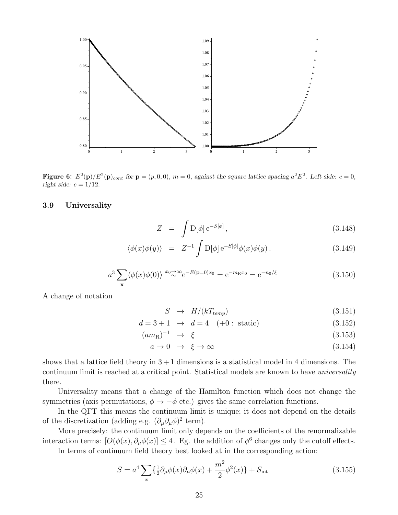

**Figure 6:**  $E^2(\mathbf{p})/E^2(\mathbf{p})_{cont}$  for  $\mathbf{p} = (p, 0, 0), m = 0$ , against the square lattice spacing  $a^2 E^2$ . Left side:  $c = 0$ , right side:  $c = 1/12$ .

#### 3.9 Universality

$$
Z = \int D[\phi] e^{-S[\phi]}, \qquad (3.148)
$$

$$
\langle \phi(x)\phi(y) \rangle = Z^{-1} \int D[\phi] e^{-S[\phi]} \phi(x)\phi(y). \qquad (3.149)
$$

$$
a^3 \sum_{\mathbf{x}} \langle \phi(x)\phi(0) \rangle^{x_0} \sim^{\infty} e^{-E(\mathbf{p}=0)x_0} = e^{-m_{\mathbf{R}}x_0} = e^{-n_0/\xi}
$$
 (3.150)

A change of notation

$$
S \rightarrow H/(kT_{temp}) \tag{3.151}
$$

$$
d = 3 + 1 \rightarrow d = 4 \quad (+0: \text{static}) \tag{3.152}
$$

$$
(am_R)^{-1} \rightarrow \xi \tag{3.153}
$$

$$
a \to 0 \quad \to \quad \xi \to \infty \tag{3.154}
$$

shows that a lattice field theory in  $3+1$  dimensions is a statistical model in 4 dimensions. The continuum limit is reached at a critical point. Statistical models are known to have *universality* there.

Universality means that a change of the Hamilton function which does not change the symmetries (axis permutations,  $\phi \rightarrow -\phi$  etc.) gives the same correlation functions.

In the QFT this means the continuum limit is unique; it does not depend on the details of the discretization (adding e.g.  $(\partial_{\mu}\partial_{\mu}\phi)^2$  term).

More precisely: the continuum limit only depends on the coefficients of the renormalizable interaction terms:  $[O(\phi(x), \partial_\mu \phi(x)] \leq 4$ . Eg. the addition of  $\phi^6$  changes only the cutoff effects.

In terms of continuum field theory best looked at in the corresponding action:

$$
S = a^4 \sum_{x} \left\{ \frac{1}{2} \partial_{\mu} \phi(x) \partial_{\mu} \phi(x) + \frac{m^2}{2} \phi^2(x) \right\} + S_{\text{int}} \tag{3.155}
$$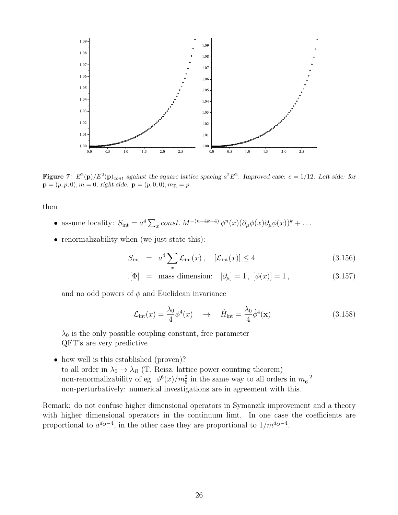

**Figure 7:**  $E^2(\mathbf{p})/E^2(\mathbf{p})_{cont}$  against the square lattice spacing  $a^2 E^2$ . Improved case:  $c = 1/12$ . Left side: for  $\mathbf{p} = (p, p, 0), m = 0$ , right side:  $\mathbf{p} = (p, 0, 0), m_{\text{R}} = p$ .

then

- assume locality:  $S_{\text{int}} = a^4 \sum_x const. M^{-(n+4k-4)} \phi^n(x) (\partial_\mu \phi(x) \partial_\mu \phi(x))^k + \dots$
- renormalizability when (we just state this):

$$
S_{\rm int} = a^4 \sum_{x} \mathcal{L}_{\rm int}(x), \quad [\mathcal{L}_{\rm int}(x)] \le 4 \tag{3.156}
$$

$$
[\Phi]
$$
 = mass dimension:  $[\partial_{\mu}] = 1$ ,  $[\phi(x)] = 1$ , (3.157)

and no odd powers of  $\phi$  and Euclidean invariance

$$
\mathcal{L}_{\text{int}}(x) = \frac{\lambda_0}{4} \phi^4(x) \quad \to \quad \hat{H}_{\text{int}} = \frac{\lambda_0}{4} \hat{\phi}^4(x) \tag{3.158}
$$

 $\lambda_0$  is the only possible coupling constant, free parameter QFT's are very predictive

• how well is this established (proven)? to all order in  $\lambda_0 \to \lambda_R$  (T. Reisz, lattice power counting theorem) non-renormalizability of eg.  $\phi^6(x)/m_6^2$  in the same way to all orders in  $m_6^{-2}$ . non-perturbatively: numerical investigations are in agreement with this.

Remark: do not confuse higher dimensional operators in Symanzik improvement and a theory with higher dimensional operators in the continuum limt. In one case the coefficients are proportional to  $a^{d_0-4}$ , in the other case they are proportional to  $1/m^{d_0-4}$ .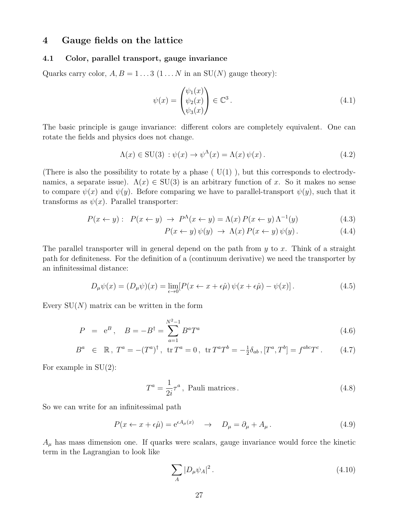## 4 Gauge fields on the lattice

#### 4.1 Color, parallel transport, gauge invariance

Quarks carry color,  $A, B = 1...3$   $(1...N$  in an SU(N) gauge theory):

$$
\psi(x) = \begin{pmatrix} \psi_1(x) \\ \psi_2(x) \\ \psi_3(x) \end{pmatrix} \in \mathbb{C}^3.
$$
\n(4.1)

The basic principle is gauge invariance: different colors are completely equivalent. One can rotate the fields and physics does not change.

$$
\Lambda(x) \in \text{SU}(3) : \psi(x) \to \psi^{\Lambda}(x) = \Lambda(x) \psi(x).
$$
 (4.2)

(There is also the possibility to rotate by a phase  $(V(1))$ , but this corresponds to electrodynamics, a separate issue).  $\Lambda(x) \in SU(3)$  is an arbitrary function of x. So it makes no sense to compare  $\psi(x)$  and  $\psi(y)$ . Before comparing we have to parallel-transport  $\psi(y)$ , such that it transforms as  $\psi(x)$ . Parallel transporter:

$$
P(x \leftarrow y): P(x \leftarrow y) \rightarrow P^{\Lambda}(x \leftarrow y) = \Lambda(x) P(x \leftarrow y) \Lambda^{-1}(y)
$$
\n(4.3)

$$
P(x \leftarrow y) \psi(y) \rightarrow \Lambda(x) P(x \leftarrow y) \psi(y). \tag{4.4}
$$

The parallel transporter will in general depend on the path from  $y$  to  $x$ . Think of a straight path for definiteness. For the definition of a (continuum derivative) we need the transporter by an infinitessimal distance:

$$
D_{\mu}\psi(x) = (D_{\mu}\psi)(x) = \lim_{\epsilon \to 0} [P(x \leftarrow x + \epsilon \hat{\mu}) \psi(x + \epsilon \hat{\mu}) - \psi(x)]. \tag{4.5}
$$

Every  $SU(N)$  matrix can be written in the form

$$
P = e^{B}, \quad B = -B^{\dagger} = \sum_{a=1}^{N^{2}-1} B^{a} T^{a}
$$
\n(4.6)

$$
B^{a} \in \mathbb{R}, T^{a} = -(T^{a})^{\dagger}, \text{ tr } T^{a} = 0, \text{ tr } T^{a}T^{b} = -\frac{1}{2}\delta_{ab}, [T^{a}, T^{b}] = f^{abc}T^{c}. \qquad (4.7)
$$

For example in SU(2):

$$
T^{a} = \frac{1}{2i}\tau^{a}, \text{ Pauli matrices.} \qquad (4.8)
$$

So we can write for an infinitessimal path

$$
P(x \leftarrow x + \epsilon \hat{\mu}) = e^{\epsilon A_{\mu}(x)} \quad \rightarrow \quad D_{\mu} = \partial_{\mu} + A_{\mu} \,. \tag{4.9}
$$

 $A_{\mu}$  has mass dimension one. If quarks were scalars, gauge invariance would force the kinetic term in the Lagrangian to look like

$$
\sum_{A} |D_{\mu}\psi_{A}|^{2}.
$$
\n(4.10)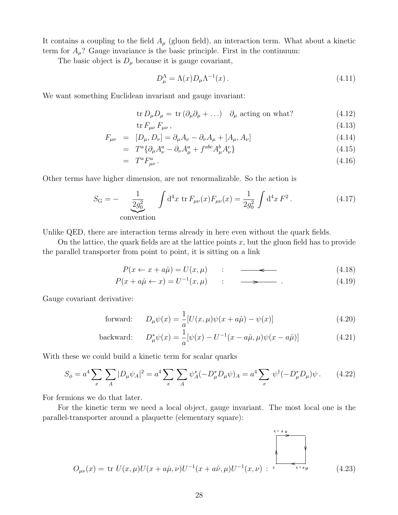It contains a coupling to the field  $A_\mu$  (gluon field), an interaction term. What about a kinetic term for  $A_\mu$ ? Gauge invariance is the basic principle. First in the continuum:

The basic object is  $D_{\mu}$  because it is gauge covariant,

$$
D_{\mu}^{\Lambda} = \Lambda(x) D_{\mu} \Lambda^{-1}(x) \,. \tag{4.11}
$$

We want something Euclidean invariant and gauge invariant:

$$
\operatorname{tr} D_{\mu} D_{\mu} = \operatorname{tr} (\partial_{\mu} \partial_{\mu} + \ldots) \quad \partial_{\mu} \text{ acting on what?}
$$
 (4.12)

$$
\text{tr}\,F_{\mu\nu}\,F_{\mu\nu}\,,\tag{4.13}
$$

$$
F_{\mu\nu} = [D_{\mu}, D_{\nu}] = \partial_{\mu} A_{\nu} - \partial_{\nu} A_{\mu} + [A_{\mu}, A_{\nu}]
$$
\n(4.14)

$$
= T^a \{ \partial_\mu A^a_\nu - \partial_\nu A^a_\mu + f^{abc} A^b_\mu A^c_\nu \} \tag{4.15}
$$

$$
= T^a F^a_{\mu\nu} \,. \tag{4.16}
$$

Other terms have higher dimension, are not renormalizable. So the action is

$$
S_{\rm G} = -\underbrace{\frac{1}{2g_0^2}}_{\text{convention}} \int d^4x \, \text{tr}\, F_{\mu\nu}(x) F_{\mu\nu}(x) = \frac{1}{2g_0^2} \int d^4x \, F^2 \,. \tag{4.17}
$$

Unlike QED, there are interaction terms already in here even without the quark fields.

On the lattice, the quark fields are at the lattice points  $x$ , but the gluon field has to provide the parallel transporter from point to point, it is sitting on a link

$$
P(x \leftarrow x + a\hat{\mu}) = U(x, \mu) \qquad : \qquad \overbrace{\qquad (4.18)}
$$

$$
P(x + a\hat{\mu} \leftarrow x) = U^{-1}(x, \mu) \qquad : \qquad \longrightarrow \qquad . \tag{4.19}
$$

Gauge covariant derivative:

forward: 
$$
D_{\mu}\psi(x) = \frac{1}{a}[U(x,\mu)\psi(x+a\hat{\mu}) - \psi(x)]
$$
 (4.20)

$$
\text{backward:} \qquad D_{\mu}^* \psi(x) = \frac{1}{a} [\psi(x) - U^{-1}(x - a\hat{\mu}, \mu) \psi(x - a\hat{\mu})] \tag{4.21}
$$

With these we could build a kinetic term for scalar quarks

$$
S_{\phi} = a^4 \sum_{x} \sum_{A} |D_{\mu} \psi_{A}|^2 = a^4 \sum_{x} \sum_{A} \psi_{A}^* (-D_{\mu}^* D_{\mu} \psi)_{A} = a^4 \sum_{x} \psi^{\dagger} (-D_{\mu}^* D_{\mu}) \psi. \tag{4.22}
$$

For fermions we do that later.

For the kinetic term we need a local object, gauge invariant. The most local one is the parallel-transporter around a plaquette (elementary square):

$$
O_{\mu\nu}(x) = \text{tr } U(x,\mu)U(x+a\hat{\mu},\nu)U^{-1}(x+a\hat{\nu},\mu)U^{-1}(x,\nu) : \xrightarrow{x+a,\nu} (4.23)
$$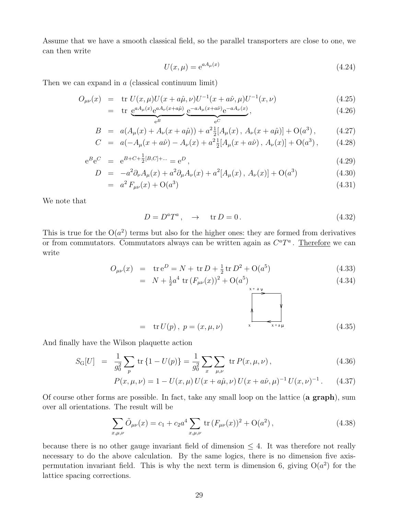Assume that we have a smooth classical field, so the parallel transporters are close to one, we can then write

$$
U(x,\mu) = e^{aA_{\mu}(x)}\tag{4.24}
$$

Then we can expand in  $a$  (classical continuum limit)

$$
O_{\mu\nu}(x) = \text{tr } U(x,\mu)U(x+a\hat{\mu},\nu)U^{-1}(x+a\hat{\nu},\mu)U^{-1}(x,\nu) \tag{4.25}
$$

$$
= \operatorname{tr} \underbrace{e^{aA_{\mu}(x)}e^{aA_{\nu}(x+a\hat{\mu})}}_{e^{B}} \underbrace{e^{-aA_{\mu}(x+a\hat{\nu})}e^{-aA_{\nu}(x)}}_{e^{C}}, \qquad (4.26)
$$

$$
B = a(A_{\mu}(x) + A_{\nu}(x + a\hat{\mu})) + a^{2} \frac{1}{2} [A_{\mu}(x), A_{\nu}(x + a\hat{\mu})] + O(a^{3}), \qquad (4.27)
$$

$$
C = a(-A_{\mu}(x+a\hat{\nu}) - A_{\nu}(x) + a^2 \frac{1}{2} [A_{\mu}(x+a\hat{\nu}), A_{\nu}(x)] + O(a^3), \qquad (4.28)
$$

$$
e^{B}e^{C} = e^{B+C+\frac{1}{2}[B,C]+\dots} = e^{D}, \qquad (4.29)
$$

$$
D = -a^2 \partial_{\nu} A_{\mu}(x) + a^2 \partial_{\mu} A_{\nu}(x) + a^2 [A_{\mu}(x), A_{\nu}(x)] + O(a^3)
$$
(4.30)

$$
= a2 F\mu\nu(x) + O(a3)
$$
\n(4.31)

We note that

$$
D = D^a T^a, \quad \to \quad \text{tr } D = 0. \tag{4.32}
$$

This is true for the  $O(a^2)$  terms but also for the higher ones: they are formed from derivatives or from commutators. Commutators always can be written again as  $C^{a}T^{a}$ . Therefore we can write

$$
O_{\mu\nu}(x) = \text{tr } e^D = N + \text{tr } D + \frac{1}{2} \text{tr } D^2 + O(a^5)
$$
 (4.33)

$$
= N + \frac{1}{2}a^4 \operatorname{tr}\left(F_{\mu\nu}(x)\right)^2 + \mathcal{O}(a^5)
$$
\n<sup>(4.34)</sup>

$$
= tr U(p), p = (x, \mu, \nu) \qquad \qquad \sum_{x+a\mu} \qquad (4.35)
$$

And finally have the Wilson plaquette action

$$
S_{\rm G}[U] = \frac{1}{g_0^2} \sum_{p} \text{tr} \{1 - U(p)\} = \frac{1}{g_0^2} \sum_{x} \sum_{\mu,\nu} \text{tr} P(x,\mu,\nu), \qquad (4.36)
$$

$$
P(x, \mu, \nu) = 1 - U(x, \mu) U(x + a\hat{\mu}, \nu) U(x + a\hat{\nu}, \mu)^{-1} U(x, \nu)^{-1}.
$$
 (4.37)

Of course other forms are possible. In fact, take any small loop on the lattice (a graph), sum over all orientations. The result will be

$$
\sum_{x,\mu,\nu} \tilde{O}_{\mu\nu}(x) = c_1 + c_2 a^4 \sum_{x,\mu,\nu} \text{tr}\left(F_{\mu\nu}(x)\right)^2 + \mathcal{O}(a^2) \,,\tag{4.38}
$$

because there is no other gauge invariant field of dimension  $\leq 4$ . It was therefore not really necessary to do the above calculation. By the same logics, there is no dimension five axispermutation invariant field. This is why the next term is dimension 6, giving  $O(a^2)$  for the lattice spacing corrections.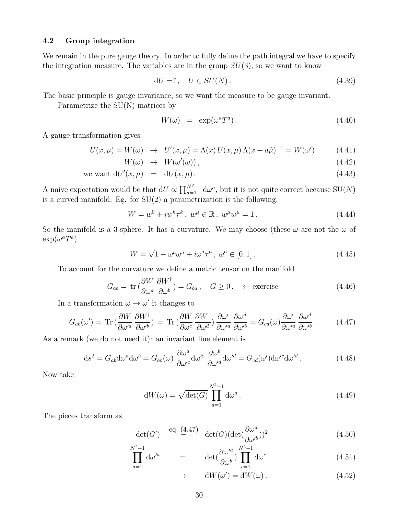#### 4.2 Group integration

We remain in the pure gauge theory. In order to fully define the path integral we have to specify the integration measure. The variables are in the group  $SU(3)$ , so we want to know

$$
dU =?, \quad U \in SU(N). \tag{4.39}
$$

The basic principle is gauge invariance, so we want the measure to be gauge invariant.

Parametrize the SU(N) matrices by

$$
W(\omega) = \exp(\omega^a T^a). \tag{4.40}
$$

A gauge transformation gives

$$
U(x,\mu) = W(\omega) \rightarrow U'(x,\mu) = \Lambda(x)U(x,\mu)\Lambda(x+a\hat{\mu})^{-1} = W(\omega')
$$
(4.41)  

$$
W(\omega) \rightarrow W(\omega'(\omega)).
$$
(4.42)

$$
(\omega) \rightarrow W(\omega'(\omega)), \qquad (4.42)
$$

we want 
$$
dU'(x,\mu) = dU(x,\mu)
$$
. (4.43)

A naive expectation would be that  $dU \propto \prod_{a=1}^{N^2-1} d\omega^a$ , but it is not quite correct because  $SU(N)$ is a curved manifold. Eg. for  $SU(2)$  a parametrization is the following.

$$
W = w^{0} + i w^{k} \tau^{k}, \ w^{\mu} \in \mathbb{R}, \ w^{\mu} w^{\mu} = 1.
$$
 (4.44)

So the manifold is a 3-sphere. It has a curvature. We may choose (these  $\omega$  are not the  $\omega$  of  $\exp(\omega^a T^a)$ 

$$
W = \sqrt{1 - \omega^a \omega^a} + i\omega^a \tau^a, \ \omega^a \in [0, 1]. \tag{4.45}
$$

To account for the curvature we define a metric tensor on the manifold

$$
G_{ab} = \text{tr}\left(\frac{\partial W}{\partial \omega^a} \frac{\partial W^{\dagger}}{\partial \omega^b}\right) = G_{ba}, \quad G \ge 0, \quad \leftarrow \text{exercise}
$$
 (4.46)

In a transformation  $\omega \to \omega'$  it changes to

$$
G_{ab}(\omega') = \text{Tr}\left(\frac{\partial W}{\partial \omega'^a}\frac{\partial W^{\dagger}}{\partial \omega'^b}\right) = \text{Tr}\left(\frac{\partial W}{\partial \omega^c}\frac{\partial W^{\dagger}}{\partial \omega^d}\right)\frac{\partial \omega^c}{\partial \omega'^a}\frac{\partial \omega^d}{\partial \omega'^b} = G_{cd}(\omega)\frac{\partial \omega^c}{\partial \omega'^a}\frac{\partial \omega^d}{\partial \omega'^b}.
$$
(4.47)

As a remark (we do not need it): an invariant line element is

$$
ds^{2} = G_{ab}d\omega^{a}d\omega^{b} = G_{ab}(\omega) \frac{\partial \omega^{a}}{\partial \omega'^{c}}d\omega'^{c} \frac{\partial \omega^{b}}{\partial \omega'^{d}}d\omega'^{d} = G_{cd}(\omega')d\omega'^{c}d\omega'^{d}.
$$
 (4.48)

Now take

$$
dW(\omega) = \sqrt{\det(G)} \prod_{a=1}^{N^2 - 1} d\omega^a.
$$
 (4.49)

The pieces transform as

$$
\det(G') \stackrel{\text{eq. (4.47)}}{=} \det(G)(\det(\frac{\partial \omega^a}{\partial \omega'^b}))^2
$$
\n(4.50)

$$
\prod_{a=1}^{N^2-1} d\omega'^a = det(\frac{\partial \omega'^a}{\partial \omega^b}) \prod_{c=1}^{N^2-1} d\omega^c
$$
\n(4.51)

$$
\rightarrow \qquad \mathrm{d}W(\omega') = \mathrm{d}W(\omega) \,. \tag{4.52}
$$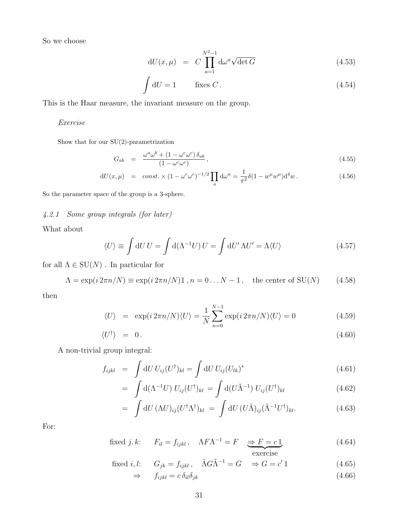So we choose

$$
dU(x,\mu) = C \prod_{a=1}^{N^2-1} d\omega^a \sqrt{\det G}
$$
 (4.53)

$$
\int dU = 1 \qquad \text{fixes } C. \tag{4.54}
$$

This is the Haar measure, the invariant measure on the group.

#### Exercise

Show that for our  $SU(2)$ -parametrization

$$
G_{ab} = \frac{\omega^a \omega^b + (1 - \omega^c \omega^c) \delta_{ab}}{(1 - \omega^c \omega^c)},
$$
\n(4.55)

$$
dU(x,\mu) = const. \times (1 - \omega^c \omega^c)^{-1/2} \prod_a d\omega^a = \frac{1}{\pi^2} \delta(1 - w^\mu w^\mu) d^4 w.
$$
 (4.56)

So the parameter space of the group is a 3-sphere.

### 4.2.1 Some group integrals (for later)

What about

$$
\langle U \rangle \equiv \int dU \, U = \int d(\Lambda^{-1} U) \, U = \int dU' \, \Lambda U' = \Lambda \langle U \rangle \tag{4.57}
$$

for all  $\Lambda \in \mathrm{SU}(N)$  . In particular for

$$
\Lambda = \exp(i 2\pi n/N) \equiv \exp(i 2\pi n/N) \mathbb{1}, n = 0...N - 1, \text{ the center of } SU(N)
$$
 (4.58)

then

$$
\langle U \rangle = \exp(i 2\pi n/N) \langle U \rangle = \frac{1}{N} \sum_{n=0}^{N-1} \exp(i 2\pi n/N) \langle U \rangle = 0 \tag{4.59}
$$

$$
\langle U^{\dagger} \rangle = 0. \tag{4.60}
$$

A non-trivial group integral:

$$
f_{ijkl} = \int dU U_{ij} (U^{\dagger})_{kl} = \int dU U_{ij} (U_{lk})^* \qquad (4.61)
$$

$$
= \int d(\Lambda^{-1}U) U_{ij}(U^{\dagger})_{kl} = \int d(U\tilde{\Lambda}^{-1}) U_{ij}(U^{\dagger})_{kl}
$$
\n(4.62)

$$
= \int dU \, (\Lambda U)_{ij} (U^{\dagger} \Lambda^{\dagger})_{kl} = \int dU \, (U \tilde{\Lambda})_{ij} (\tilde{\Lambda}^{-1} U^{\dagger})_{kl}.
$$
 (4.63)

For:

fixed j, k: 
$$
F_{il} = f_{ijkl}
$$
,  $\Lambda F \Lambda^{-1} = F$   $\Rightarrow F = c \mathbb{1}$    
exercise (4.64)

fixed *i*, *l*: 
$$
G_{jk} = f_{ijkl}
$$
,  $\tilde{\Lambda}G\tilde{\Lambda}^{-1} = G \Rightarrow G = c' \mathbb{1}$  (4.65)

$$
\Rightarrow \qquad f_{ijkl} = c \,\delta_{il} \delta_{jk} \tag{4.66}
$$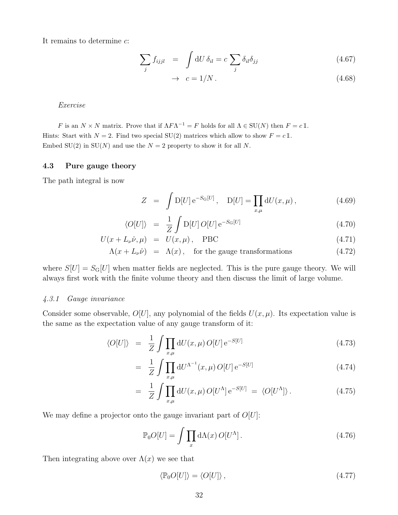It remains to determine c:

$$
\sum_{j} f_{ijjl} = \int dU \,\delta_{il} = c \sum_{j} \delta_{il} \delta_{jj} \tag{4.67}
$$

$$
\rightarrow c = 1/N. \tag{4.68}
$$

Exercise

F is an  $N \times N$  matrix. Prove that if  $\Lambda F \Lambda^{-1} = F$  holds for all  $\Lambda \in SU(N)$  then  $F = c \mathbb{1}$ . Hints: Start with  $N = 2$ . Find two special SU(2) matrices which allow to show  $F = c \mathbb{1}$ . Embed SU(2) in SU(N) and use the  $N = 2$  property to show it for all N.

#### 4.3 Pure gauge theory

The path integral is now

$$
Z = \int D[U] e^{-S_{\rm G}[U]}, \quad D[U] = \prod_{x,\mu} dU(x,\mu), \quad (4.69)
$$

$$
\langle O[U] \rangle = \frac{1}{Z} \int D[U] O[U] e^{-S_{\rm G}[U]} \tag{4.70}
$$

$$
U(x + L_{\nu}\hat{\nu}, \mu) = U(x, \mu), \quad \text{PBC}
$$
\n(4.71)

$$
\Lambda(x + L_{\nu}\hat{\nu}) = \Lambda(x), \quad \text{for the gauge transformations} \tag{4.72}
$$

where  $S[U] = S_G[U]$  when matter fields are neglected. This is the pure gauge theory. We will always first work with the finite volume theory and then discuss the limit of large volume.

#### 4.3.1 Gauge invariance

Consider some observable,  $O[U]$ , any polynomial of the fields  $U(x, \mu)$ . Its expectation value is the same as the expectation value of any gauge transform of it:

$$
\langle O[U] \rangle = \frac{1}{Z} \int \prod_{x,\mu} dU(x,\mu) O[U] e^{-S[U]} \tag{4.73}
$$

$$
= \frac{1}{Z} \int \prod_{x,\mu} dU^{\Lambda^{-1}}(x,\mu) O[U] e^{-S[U]} \tag{4.74}
$$

$$
= \frac{1}{Z} \int \prod_{x,\mu} dU(x,\mu) O[U^{\Lambda}] e^{-S[U]} = \langle O[U^{\Lambda}] \rangle.
$$
 (4.75)

We may define a projector onto the gauge invariant part of  $O[U]$ :

$$
\mathbb{P}_0 O[U] = \int \prod_x d\Lambda(x) O[U^{\Lambda}]. \tag{4.76}
$$

Then integrating above over  $\Lambda(x)$  we see that

$$
\langle \mathbb{P}_0 O[U] \rangle = \langle O[U] \rangle \,, \tag{4.77}
$$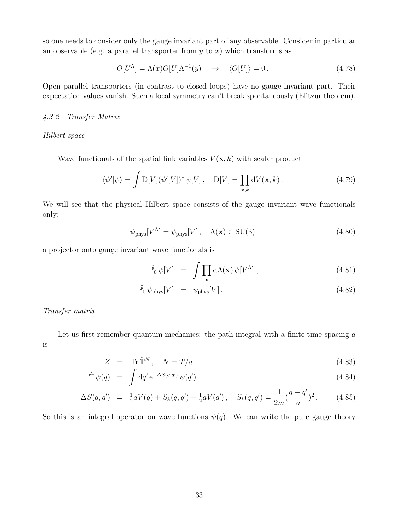so one needs to consider only the gauge invariant part of any observable. Consider in particular an observable (e.g. a parallel transporter from  $y$  to  $x$ ) which transforms as

$$
O[U^{\Lambda}] = \Lambda(x)O[U]\Lambda^{-1}(y) \quad \to \quad \langle O[U] \rangle = 0. \tag{4.78}
$$

Open parallel transporters (in contrast to closed loops) have no gauge invariant part. Their expectation values vanish. Such a local symmetry can't break spontaneously (Elitzur theorem).

#### 4.3.2 Transfer Matrix

#### Hilbert space

Wave functionals of the spatial link variables  $V(\mathbf{x}, k)$  with scalar product

$$
\langle \psi' | \psi \rangle = \int D[V] (\psi'[V])^* \psi[V], \quad D[V] = \prod_{\mathbf{x},k} dV(\mathbf{x},k). \tag{4.79}
$$

We will see that the physical Hilbert space consists of the gauge invariant wave functionals only:

$$
\psi_{\text{phys}}[V^{\Lambda}] = \psi_{\text{phys}}[V], \quad \Lambda(\mathbf{x}) \in \text{SU}(3)
$$
\n(4.80)

a projector onto gauge invariant wave functionals is

$$
\hat{\mathbb{P}}_0 \psi[V] = \int \prod_{\mathbf{x}} d\Lambda(\mathbf{x}) \psi[V^{\Lambda}], \qquad (4.81)
$$

$$
\hat{\mathbb{P}}_0 \,\psi_{\text{phys}}[V] = \psi_{\text{phys}}[V]. \tag{4.82}
$$

Transfer matrix

Let us first remember quantum mechanics: the path integral with a finite time-spacing a is

$$
Z = \text{Tr}\,\hat{\mathbb{T}}^N, \quad N = T/a \tag{4.83}
$$

$$
\hat{\mathbb{T}}\,\psi(q) = \int \mathrm{d}q' \,\mathrm{e}^{-\Delta S(q,q')} \,\psi(q') \tag{4.84}
$$

$$
\Delta S(q,q') = \frac{1}{2} aV(q) + S_k(q,q') + \frac{1}{2} aV(q'), \quad S_k(q,q') = \frac{1}{2m} (\frac{q-q'}{a})^2.
$$
 (4.85)

So this is an integral operator on wave functions  $\psi(q)$ . We can write the pure gauge theory